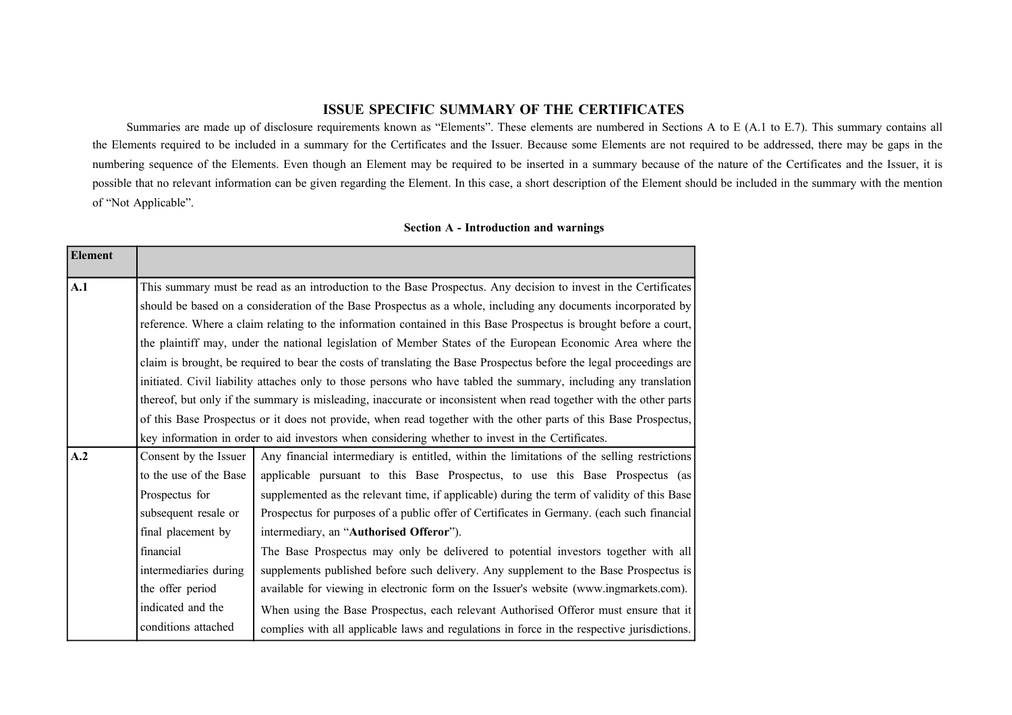## **ISSUE SPECIFIC SUMMARY OF THE CERTIFICATES**

Summaries are made up of disclosure requirements known as "Elements". These elements are numbered in Sections A to E (A.1 to E.7). This summary contains all the Elements required to be included in a summary for the Certificates and the Issuer. Because some Elements are not required to be addressed, there may be gaps in the numbering sequence of the Elements. Even though an Element may be required to be inserted in a summary because of the nature of the Certificates and the Issuer, it is possible that no relevant information can be given regarding the Element. In this case, a short description of the Element should be included in the summary with the mention of "Not Applicable".

## **Section A - Introduction and warnings**

| Element |                                                                                                                 |                                                                                                                     |  |
|---------|-----------------------------------------------------------------------------------------------------------------|---------------------------------------------------------------------------------------------------------------------|--|
| A.1     | This summary must be read as an introduction to the Base Prospectus. Any decision to invest in the Certificates |                                                                                                                     |  |
|         |                                                                                                                 | should be based on a consideration of the Base Prospectus as a whole, including any documents incorporated by       |  |
|         |                                                                                                                 | reference. Where a claim relating to the information contained in this Base Prospectus is brought before a court,   |  |
|         |                                                                                                                 | the plaintiff may, under the national legislation of Member States of the European Economic Area where the          |  |
|         |                                                                                                                 | claim is brought, be required to bear the costs of translating the Base Prospectus before the legal proceedings are |  |
|         |                                                                                                                 | initiated. Civil liability attaches only to those persons who have tabled the summary, including any translation    |  |
|         |                                                                                                                 | thereof, but only if the summary is misleading, inaccurate or inconsistent when read together with the other parts  |  |
|         |                                                                                                                 | of this Base Prospectus or it does not provide, when read together with the other parts of this Base Prospectus,    |  |
|         |                                                                                                                 | key information in order to aid investors when considering whether to invest in the Certificates.                   |  |
| A.2     | Consent by the Issuer                                                                                           | Any financial intermediary is entitled, within the limitations of the selling restrictions                          |  |
|         | to the use of the Base                                                                                          | applicable pursuant to this Base Prospectus, to use this Base Prospectus (as                                        |  |
|         | Prospectus for                                                                                                  | supplemented as the relevant time, if applicable) during the term of validity of this Base                          |  |
|         | subsequent resale or                                                                                            | Prospectus for purposes of a public offer of Certificates in Germany. (each such financial                          |  |
|         | final placement by                                                                                              | intermediary, an "Authorised Offeror").                                                                             |  |
|         | financial                                                                                                       | The Base Prospectus may only be delivered to potential investors together with all                                  |  |
|         | intermediaries during                                                                                           | supplements published before such delivery. Any supplement to the Base Prospectus is                                |  |
|         | the offer period                                                                                                | available for viewing in electronic form on the Issuer's website (www.ingmarkets.com).                              |  |
|         | indicated and the                                                                                               | When using the Base Prospectus, each relevant Authorised Offeror must ensure that it                                |  |
|         | conditions attached                                                                                             | complies with all applicable laws and regulations in force in the respective jurisdictions.                         |  |
|         |                                                                                                                 |                                                                                                                     |  |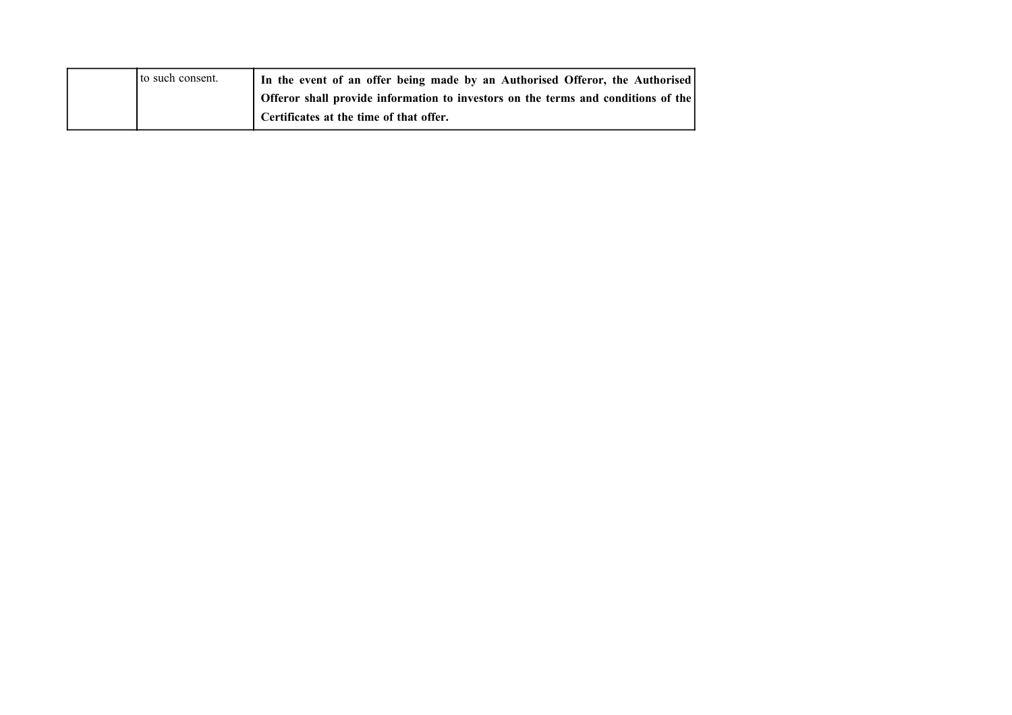|  | to such consent. | In the event of an offer being made by an Authorised Offeror, the Authorised      |
|--|------------------|-----------------------------------------------------------------------------------|
|  |                  | Offeror shall provide information to investors on the terms and conditions of the |
|  |                  | Certificates at the time of that offer.                                           |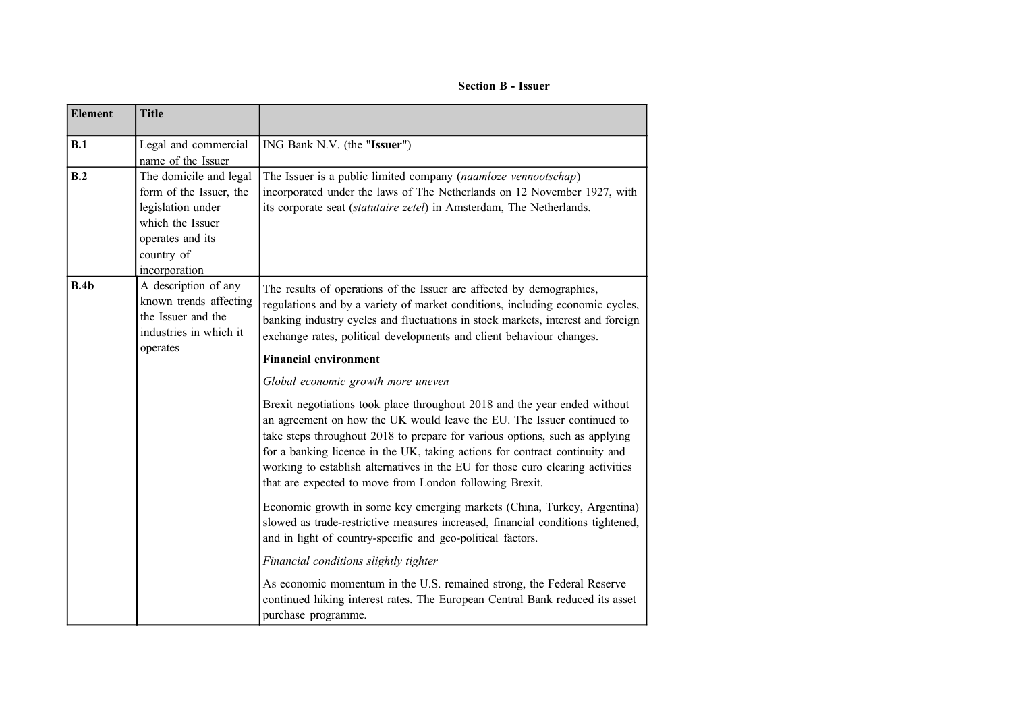**Section B - Issuer**

| <b>Element</b> | <b>Title</b>                                                                                                                                  |                                                                                                                                                                                                                                                                                                                                                                                                                                                                                                      |
|----------------|-----------------------------------------------------------------------------------------------------------------------------------------------|------------------------------------------------------------------------------------------------------------------------------------------------------------------------------------------------------------------------------------------------------------------------------------------------------------------------------------------------------------------------------------------------------------------------------------------------------------------------------------------------------|
| B.1            | Legal and commercial<br>name of the Issuer                                                                                                    | ING Bank N.V. (the "Issuer")                                                                                                                                                                                                                                                                                                                                                                                                                                                                         |
| B.2            | The domicile and legal<br>form of the Issuer, the<br>legislation under<br>which the Issuer<br>operates and its<br>country of<br>incorporation | The Issuer is a public limited company (naamloze vennootschap)<br>incorporated under the laws of The Netherlands on 12 November 1927, with<br>its corporate seat (statutaire zetel) in Amsterdam, The Netherlands.                                                                                                                                                                                                                                                                                   |
| B.4b           | A description of any<br>known trends affecting<br>the Issuer and the<br>industries in which it<br>operates                                    | The results of operations of the Issuer are affected by demographics,<br>regulations and by a variety of market conditions, including economic cycles,<br>banking industry cycles and fluctuations in stock markets, interest and foreign<br>exchange rates, political developments and client behaviour changes.<br><b>Financial environment</b>                                                                                                                                                    |
|                |                                                                                                                                               | Global economic growth more uneven<br>Brexit negotiations took place throughout 2018 and the year ended without<br>an agreement on how the UK would leave the EU. The Issuer continued to<br>take steps throughout 2018 to prepare for various options, such as applying<br>for a banking licence in the UK, taking actions for contract continuity and<br>working to establish alternatives in the EU for those euro clearing activities<br>that are expected to move from London following Brexit. |
|                |                                                                                                                                               | Economic growth in some key emerging markets (China, Turkey, Argentina)<br>slowed as trade-restrictive measures increased, financial conditions tightened,<br>and in light of country-specific and geo-political factors.                                                                                                                                                                                                                                                                            |
|                |                                                                                                                                               | Financial conditions slightly tighter                                                                                                                                                                                                                                                                                                                                                                                                                                                                |
|                |                                                                                                                                               | As economic momentum in the U.S. remained strong, the Federal Reserve<br>continued hiking interest rates. The European Central Bank reduced its asset<br>purchase programme.                                                                                                                                                                                                                                                                                                                         |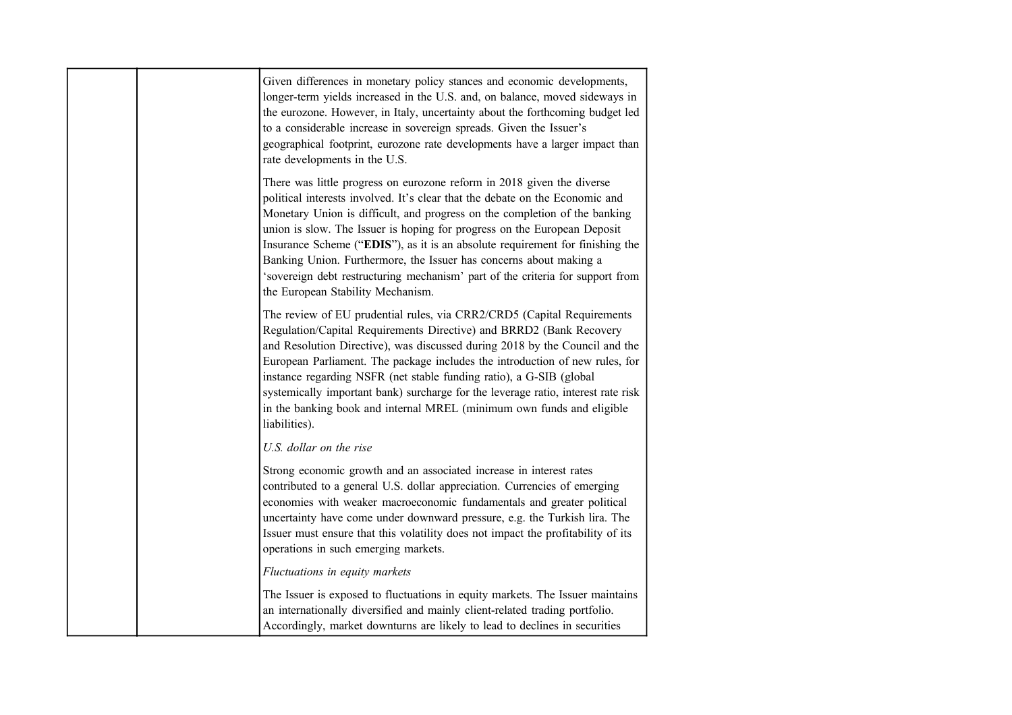| Given differences in monetary policy stances and economic developments,<br>longer-term yields increased in the U.S. and, on balance, moved sideways in<br>the eurozone. However, in Italy, uncertainty about the forthcoming budget led<br>to a considerable increase in sovereign spreads. Given the Issuer's<br>geographical footprint, eurozone rate developments have a larger impact than<br>rate developments in the U.S.                                                                                                                                                                |
|------------------------------------------------------------------------------------------------------------------------------------------------------------------------------------------------------------------------------------------------------------------------------------------------------------------------------------------------------------------------------------------------------------------------------------------------------------------------------------------------------------------------------------------------------------------------------------------------|
| There was little progress on eurozone reform in 2018 given the diverse<br>political interests involved. It's clear that the debate on the Economic and<br>Monetary Union is difficult, and progress on the completion of the banking<br>union is slow. The Issuer is hoping for progress on the European Deposit<br>Insurance Scheme ("EDIS"), as it is an absolute requirement for finishing the<br>Banking Union. Furthermore, the Issuer has concerns about making a<br>'sovereign debt restructuring mechanism' part of the criteria for support from<br>the European Stability Mechanism. |
| The review of EU prudential rules, via CRR2/CRD5 (Capital Requirements<br>Regulation/Capital Requirements Directive) and BRRD2 (Bank Recovery<br>and Resolution Directive), was discussed during 2018 by the Council and the<br>European Parliament. The package includes the introduction of new rules, for<br>instance regarding NSFR (net stable funding ratio), a G-SIB (global<br>systemically important bank) surcharge for the leverage ratio, interest rate risk<br>in the banking book and internal MREL (minimum own funds and eligible<br>liabilities).                             |
| U.S. dollar on the rise                                                                                                                                                                                                                                                                                                                                                                                                                                                                                                                                                                        |
| Strong economic growth and an associated increase in interest rates<br>contributed to a general U.S. dollar appreciation. Currencies of emerging<br>economies with weaker macroeconomic fundamentals and greater political<br>uncertainty have come under downward pressure, e.g. the Turkish lira. The<br>Issuer must ensure that this volatility does not impact the profitability of its<br>operations in such emerging markets.                                                                                                                                                            |
| Fluctuations in equity markets                                                                                                                                                                                                                                                                                                                                                                                                                                                                                                                                                                 |
| The Issuer is exposed to fluctuations in equity markets. The Issuer maintains<br>an internationally diversified and mainly client-related trading portfolio.<br>Accordingly, market downturns are likely to lead to declines in securities                                                                                                                                                                                                                                                                                                                                                     |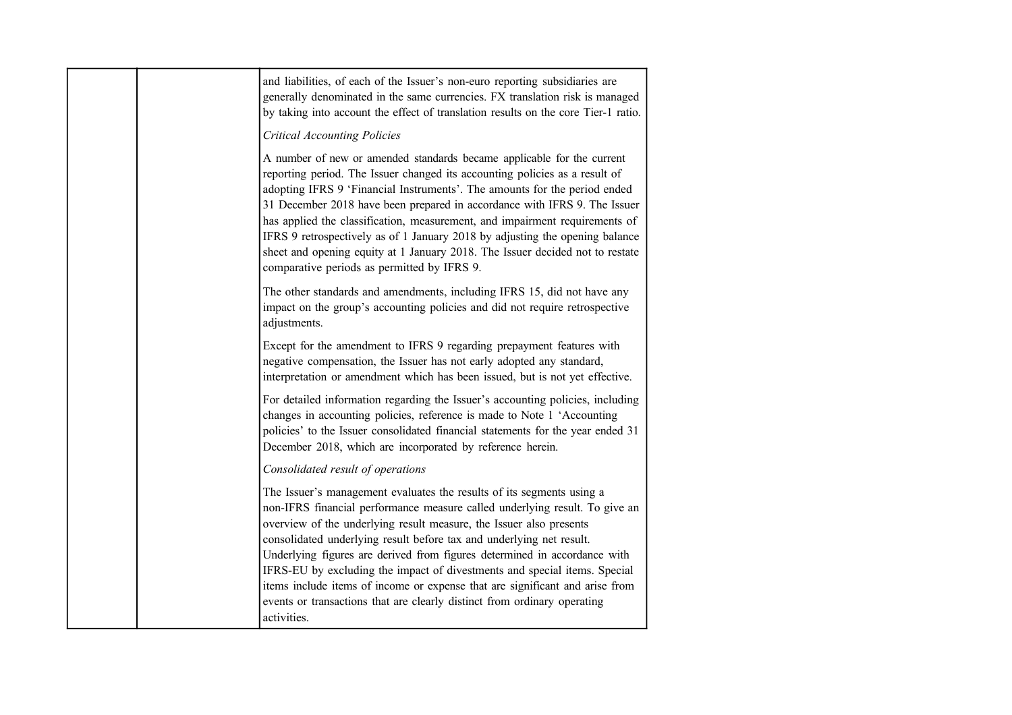| and liabilities, of each of the Issuer's non-euro reporting subsidiaries are<br>generally denominated in the same currencies. FX translation risk is managed<br>by taking into account the effect of translation results on the core Tier-1 ratio.<br><b>Critical Accounting Policies</b>                                                                                                                                                                                                                                                                                                                                                |
|------------------------------------------------------------------------------------------------------------------------------------------------------------------------------------------------------------------------------------------------------------------------------------------------------------------------------------------------------------------------------------------------------------------------------------------------------------------------------------------------------------------------------------------------------------------------------------------------------------------------------------------|
| A number of new or amended standards became applicable for the current<br>reporting period. The Issuer changed its accounting policies as a result of<br>adopting IFRS 9 'Financial Instruments'. The amounts for the period ended<br>31 December 2018 have been prepared in accordance with IFRS 9. The Issuer<br>has applied the classification, measurement, and impairment requirements of<br>IFRS 9 retrospectively as of 1 January 2018 by adjusting the opening balance<br>sheet and opening equity at 1 January 2018. The Issuer decided not to restate<br>comparative periods as permitted by IFRS 9.                           |
| The other standards and amendments, including IFRS 15, did not have any<br>impact on the group's accounting policies and did not require retrospective<br>adjustments.                                                                                                                                                                                                                                                                                                                                                                                                                                                                   |
| Except for the amendment to IFRS 9 regarding prepayment features with<br>negative compensation, the Issuer has not early adopted any standard,<br>interpretation or amendment which has been issued, but is not yet effective.                                                                                                                                                                                                                                                                                                                                                                                                           |
| For detailed information regarding the Issuer's accounting policies, including<br>changes in accounting policies, reference is made to Note 1 'Accounting<br>policies' to the Issuer consolidated financial statements for the year ended 31<br>December 2018, which are incorporated by reference herein.                                                                                                                                                                                                                                                                                                                               |
| Consolidated result of operations                                                                                                                                                                                                                                                                                                                                                                                                                                                                                                                                                                                                        |
| The Issuer's management evaluates the results of its segments using a<br>non-IFRS financial performance measure called underlying result. To give an<br>overview of the underlying result measure, the Issuer also presents<br>consolidated underlying result before tax and underlying net result.<br>Underlying figures are derived from figures determined in accordance with<br>IFRS-EU by excluding the impact of divestments and special items. Special<br>items include items of income or expense that are significant and arise from<br>events or transactions that are clearly distinct from ordinary operating<br>activities. |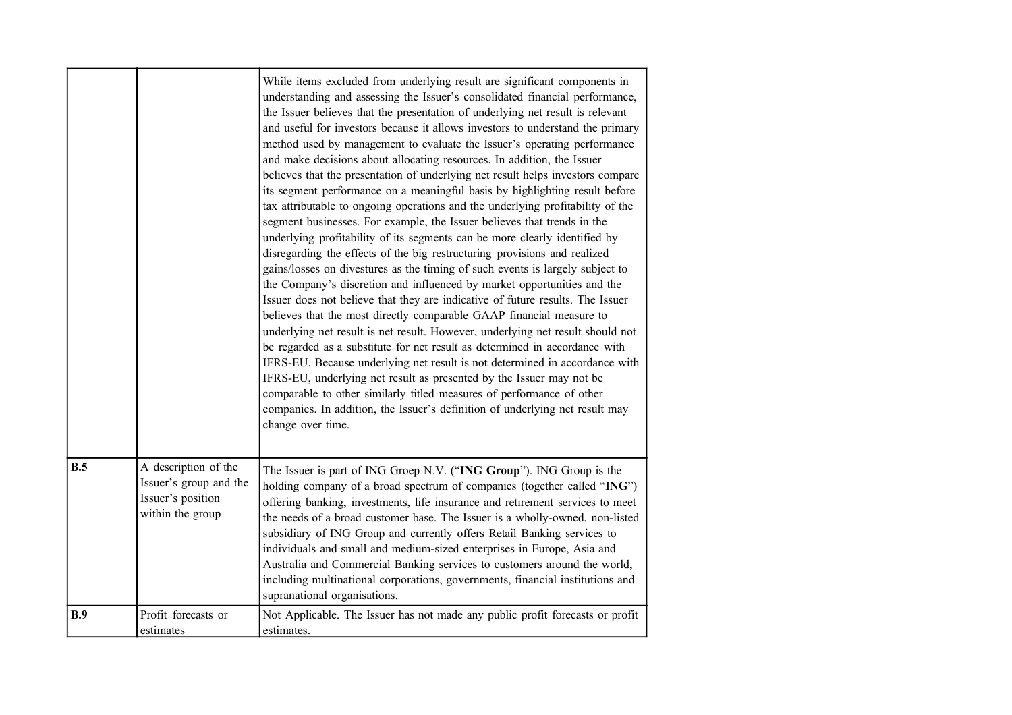|     |                                                                                         | While items excluded from underlying result are significant components in<br>understanding and assessing the Issuer's consolidated financial performance,<br>the Issuer believes that the presentation of underlying net result is relevant<br>and useful for investors because it allows investors to understand the primary<br>method used by management to evaluate the Issuer's operating performance<br>and make decisions about allocating resources. In addition, the Issuer<br>believes that the presentation of underlying net result helps investors compare<br>its segment performance on a meaningful basis by highlighting result before<br>tax attributable to ongoing operations and the underlying profitability of the<br>segment businesses. For example, the Issuer believes that trends in the<br>underlying profitability of its segments can be more clearly identified by<br>disregarding the effects of the big restructuring provisions and realized<br>gains/losses on divestures as the timing of such events is largely subject to<br>the Company's discretion and influenced by market opportunities and the<br>Issuer does not believe that they are indicative of future results. The Issuer<br>believes that the most directly comparable GAAP financial measure to<br>underlying net result is net result. However, underlying net result should not<br>be regarded as a substitute for net result as determined in accordance with<br>IFRS-EU. Because underlying net result is not determined in accordance with<br>IFRS-EU, underlying net result as presented by the Issuer may not be<br>comparable to other similarly titled measures of performance of other<br>companies. In addition, the Issuer's definition of underlying net result may<br>change over time. |
|-----|-----------------------------------------------------------------------------------------|-----------------------------------------------------------------------------------------------------------------------------------------------------------------------------------------------------------------------------------------------------------------------------------------------------------------------------------------------------------------------------------------------------------------------------------------------------------------------------------------------------------------------------------------------------------------------------------------------------------------------------------------------------------------------------------------------------------------------------------------------------------------------------------------------------------------------------------------------------------------------------------------------------------------------------------------------------------------------------------------------------------------------------------------------------------------------------------------------------------------------------------------------------------------------------------------------------------------------------------------------------------------------------------------------------------------------------------------------------------------------------------------------------------------------------------------------------------------------------------------------------------------------------------------------------------------------------------------------------------------------------------------------------------------------------------------------------------------------------------------------------------------------------------------------------------|
| B.5 | A description of the<br>Issuer's group and the<br>Issuer's position<br>within the group | The Issuer is part of ING Groep N.V. ("ING Group"). ING Group is the<br>holding company of a broad spectrum of companies (together called "ING")<br>offering banking, investments, life insurance and retirement services to meet<br>the needs of a broad customer base. The Issuer is a wholly-owned, non-listed<br>subsidiary of ING Group and currently offers Retail Banking services to<br>individuals and small and medium-sized enterprises in Europe, Asia and<br>Australia and Commercial Banking services to customers around the world,<br>including multinational corporations, governments, financial institutions and<br>supranational organisations.                                                                                                                                                                                                                                                                                                                                                                                                                                                                                                                                                                                                                                                                                                                                                                                                                                                                                                                                                                                                                                                                                                                                       |
| B.9 | Profit forecasts or<br>estimates                                                        | Not Applicable. The Issuer has not made any public profit forecasts or profit<br>estimates.                                                                                                                                                                                                                                                                                                                                                                                                                                                                                                                                                                                                                                                                                                                                                                                                                                                                                                                                                                                                                                                                                                                                                                                                                                                                                                                                                                                                                                                                                                                                                                                                                                                                                                               |
|     |                                                                                         |                                                                                                                                                                                                                                                                                                                                                                                                                                                                                                                                                                                                                                                                                                                                                                                                                                                                                                                                                                                                                                                                                                                                                                                                                                                                                                                                                                                                                                                                                                                                                                                                                                                                                                                                                                                                           |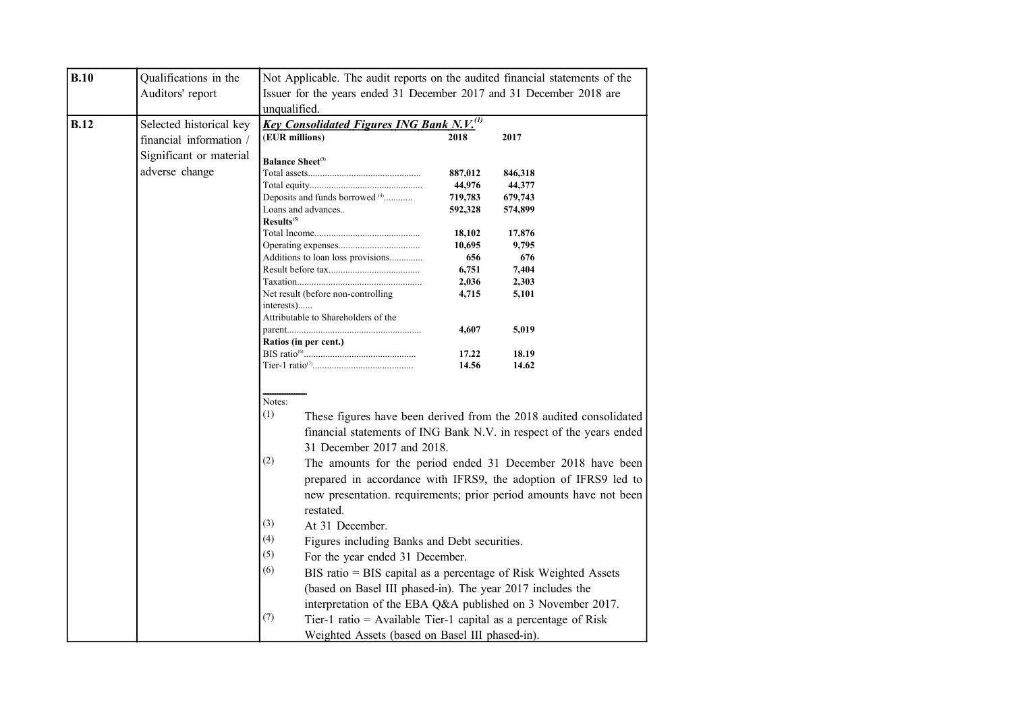| B.10        | Qualifications in the   | Not Applicable. The audit reports on the audited financial statements of the<br>Issuer for the years ended 31 December 2017 and 31 December 2018 are<br>unqualified. |                                                                                                                                                                                                             |                   |                                                                                                                                                                                                                                                                                                                                                                                                                                                                                                                                                        |
|-------------|-------------------------|----------------------------------------------------------------------------------------------------------------------------------------------------------------------|-------------------------------------------------------------------------------------------------------------------------------------------------------------------------------------------------------------|-------------------|--------------------------------------------------------------------------------------------------------------------------------------------------------------------------------------------------------------------------------------------------------------------------------------------------------------------------------------------------------------------------------------------------------------------------------------------------------------------------------------------------------------------------------------------------------|
|             | Auditors' report        |                                                                                                                                                                      |                                                                                                                                                                                                             |                   |                                                                                                                                                                                                                                                                                                                                                                                                                                                                                                                                                        |
|             |                         |                                                                                                                                                                      |                                                                                                                                                                                                             |                   |                                                                                                                                                                                                                                                                                                                                                                                                                                                                                                                                                        |
| <b>B.12</b> | Selected historical key | <u>Key Consolidated Figures ING Bank N.V.<sup>(1)</sup></u>                                                                                                          |                                                                                                                                                                                                             |                   |                                                                                                                                                                                                                                                                                                                                                                                                                                                                                                                                                        |
|             | financial information / | (EUR millions)                                                                                                                                                       |                                                                                                                                                                                                             | 2018              | 2017                                                                                                                                                                                                                                                                                                                                                                                                                                                                                                                                                   |
|             | Significant or material |                                                                                                                                                                      |                                                                                                                                                                                                             |                   |                                                                                                                                                                                                                                                                                                                                                                                                                                                                                                                                                        |
|             | adverse change          | <b>Balance Sheet</b> <sup>(3)</sup>                                                                                                                                  |                                                                                                                                                                                                             |                   |                                                                                                                                                                                                                                                                                                                                                                                                                                                                                                                                                        |
|             |                         |                                                                                                                                                                      |                                                                                                                                                                                                             | 887,012           | 846,318                                                                                                                                                                                                                                                                                                                                                                                                                                                                                                                                                |
|             |                         |                                                                                                                                                                      | Deposits and funds borrowed <sup>(4)</sup>                                                                                                                                                                  | 44,976<br>719,783 | 44,377<br>679,743                                                                                                                                                                                                                                                                                                                                                                                                                                                                                                                                      |
|             |                         |                                                                                                                                                                      | Loans and advances                                                                                                                                                                                          | 592,328           | 574,899                                                                                                                                                                                                                                                                                                                                                                                                                                                                                                                                                |
|             |                         | Results <sup>(5)</sup>                                                                                                                                               |                                                                                                                                                                                                             |                   |                                                                                                                                                                                                                                                                                                                                                                                                                                                                                                                                                        |
|             |                         |                                                                                                                                                                      |                                                                                                                                                                                                             | 18,102            | 17,876                                                                                                                                                                                                                                                                                                                                                                                                                                                                                                                                                 |
|             |                         |                                                                                                                                                                      |                                                                                                                                                                                                             | 10,695            | 9,795                                                                                                                                                                                                                                                                                                                                                                                                                                                                                                                                                  |
|             |                         |                                                                                                                                                                      | Additions to loan loss provisions                                                                                                                                                                           | 656               | 676                                                                                                                                                                                                                                                                                                                                                                                                                                                                                                                                                    |
|             |                         |                                                                                                                                                                      |                                                                                                                                                                                                             | 6,751             | 7,404                                                                                                                                                                                                                                                                                                                                                                                                                                                                                                                                                  |
|             |                         |                                                                                                                                                                      |                                                                                                                                                                                                             | 2,036             | 2,303                                                                                                                                                                                                                                                                                                                                                                                                                                                                                                                                                  |
|             |                         |                                                                                                                                                                      | Net result (before non-controlling                                                                                                                                                                          | 4,715             | 5,101                                                                                                                                                                                                                                                                                                                                                                                                                                                                                                                                                  |
|             |                         | interests)                                                                                                                                                           |                                                                                                                                                                                                             |                   |                                                                                                                                                                                                                                                                                                                                                                                                                                                                                                                                                        |
|             |                         |                                                                                                                                                                      | Attributable to Shareholders of the                                                                                                                                                                         | 4,607             | 5,019                                                                                                                                                                                                                                                                                                                                                                                                                                                                                                                                                  |
|             |                         |                                                                                                                                                                      |                                                                                                                                                                                                             |                   |                                                                                                                                                                                                                                                                                                                                                                                                                                                                                                                                                        |
|             |                         | Ratios (in per cent.)                                                                                                                                                |                                                                                                                                                                                                             | 17.22             | 18.19                                                                                                                                                                                                                                                                                                                                                                                                                                                                                                                                                  |
|             |                         |                                                                                                                                                                      |                                                                                                                                                                                                             | 14.56             | 14.62                                                                                                                                                                                                                                                                                                                                                                                                                                                                                                                                                  |
|             |                         | Notes:<br>(1)<br>(2)<br>(3)<br>(4)<br>(5)<br>(6)<br>(7)                                                                                                              | 31 December 2017 and 2018.<br>restated.<br>At 31 December.<br>Figures including Banks and Debt securities.<br>For the year ended 31 December.<br>(based on Basel III phased-in). The year 2017 includes the |                   | These figures have been derived from the 2018 audited consolidated<br>financial statements of ING Bank N.V. in respect of the years ended<br>The amounts for the period ended 31 December 2018 have been<br>prepared in accordance with IFRS9, the adoption of IFRS9 led to<br>new presentation. requirements; prior period amounts have not been<br>BIS ratio = BIS capital as a percentage of Risk Weighted Assets<br>interpretation of the EBA Q&A published on 3 November 2017.<br>Tier-1 ratio = Available Tier-1 capital as a percentage of Risk |
|             |                         |                                                                                                                                                                      | Weighted Assets (based on Basel III phased-in).                                                                                                                                                             |                   |                                                                                                                                                                                                                                                                                                                                                                                                                                                                                                                                                        |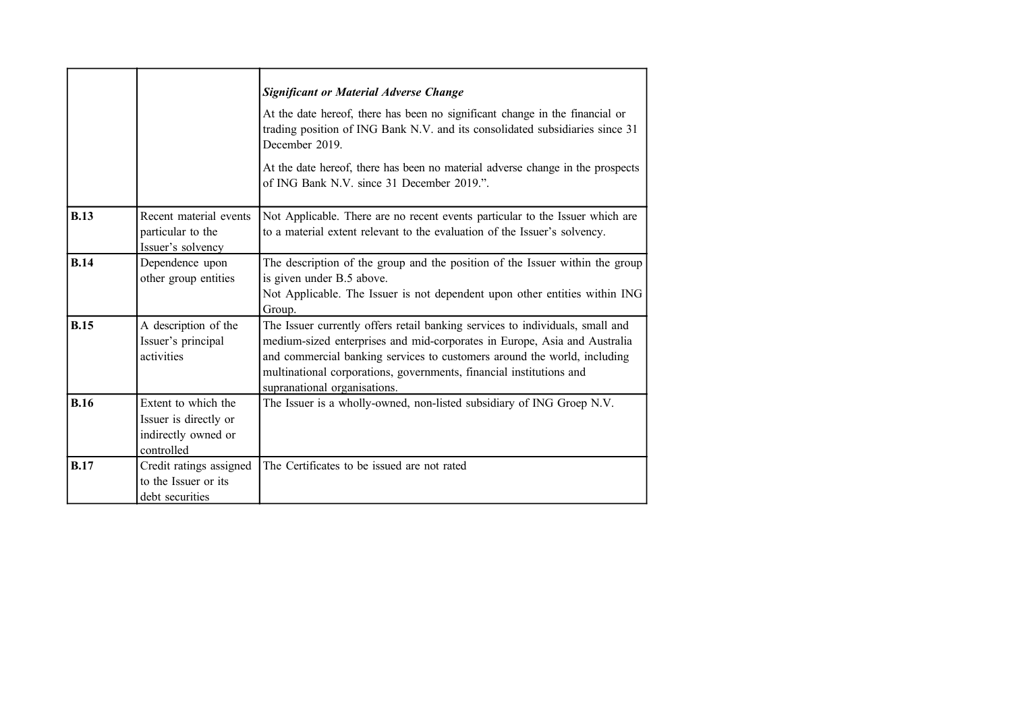|             |                                                                                   | <b>Significant or Material Adverse Change</b><br>At the date hereof, there has been no significant change in the financial or<br>trading position of ING Bank N.V. and its consolidated subsidiaries since 31<br>December 2019.<br>At the date hereof, there has been no material adverse change in the prospects<br>of ING Bank N.V. since 31 December 2019.". |
|-------------|-----------------------------------------------------------------------------------|-----------------------------------------------------------------------------------------------------------------------------------------------------------------------------------------------------------------------------------------------------------------------------------------------------------------------------------------------------------------|
| <b>B.13</b> | Recent material events<br>particular to the<br>Issuer's solvency                  | Not Applicable. There are no recent events particular to the Issuer which are<br>to a material extent relevant to the evaluation of the Issuer's solvency.                                                                                                                                                                                                      |
| <b>B.14</b> | Dependence upon<br>other group entities                                           | The description of the group and the position of the Issuer within the group<br>is given under B.5 above.<br>Not Applicable. The Issuer is not dependent upon other entities within ING<br>Group.                                                                                                                                                               |
| <b>B.15</b> | A description of the<br>Issuer's principal<br>activities                          | The Issuer currently offers retail banking services to individuals, small and<br>medium-sized enterprises and mid-corporates in Europe, Asia and Australia<br>and commercial banking services to customers around the world, including<br>multinational corporations, governments, financial institutions and<br>supranational organisations.                   |
| <b>B.16</b> | Extent to which the<br>Issuer is directly or<br>indirectly owned or<br>controlled | The Issuer is a wholly-owned, non-listed subsidiary of ING Groep N.V.                                                                                                                                                                                                                                                                                           |
| <b>B.17</b> | Credit ratings assigned<br>to the Issuer or its<br>debt securities                | The Certificates to be issued are not rated                                                                                                                                                                                                                                                                                                                     |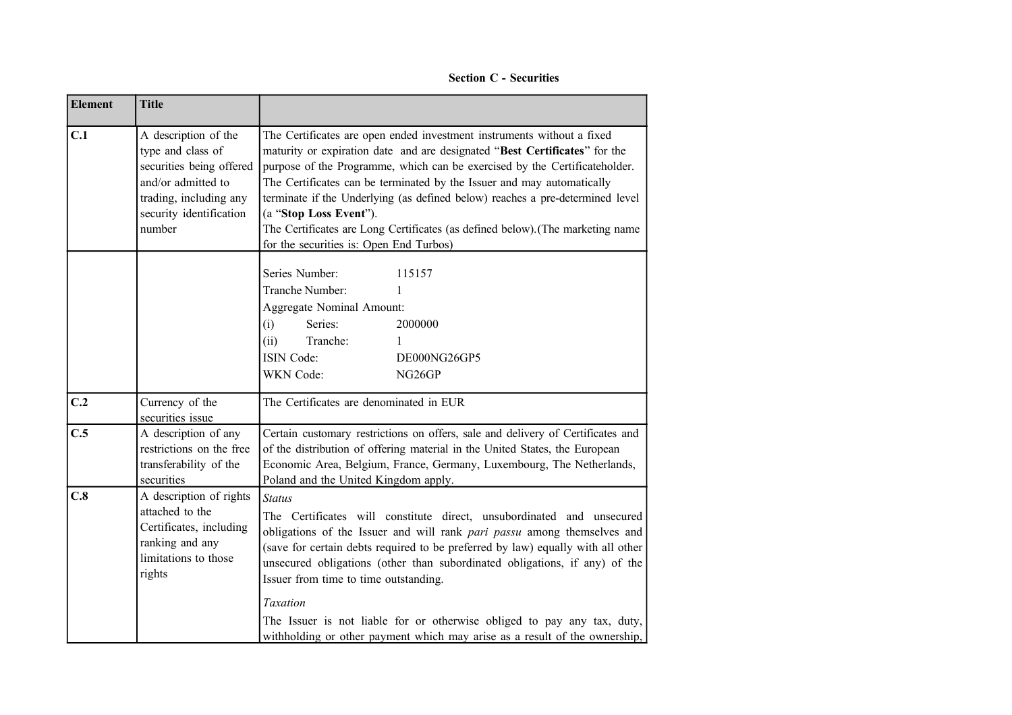**Section C - Securities**

| <b>Element</b> | <b>Title</b>                                                                                                                                               |                                                                                                                                                                                                                                                                                                                                                                                                                                                                                                                                                         |  |  |
|----------------|------------------------------------------------------------------------------------------------------------------------------------------------------------|---------------------------------------------------------------------------------------------------------------------------------------------------------------------------------------------------------------------------------------------------------------------------------------------------------------------------------------------------------------------------------------------------------------------------------------------------------------------------------------------------------------------------------------------------------|--|--|
| C.1            | A description of the<br>type and class of<br>securities being offered<br>and/or admitted to<br>trading, including any<br>security identification<br>number | The Certificates are open ended investment instruments without a fixed<br>maturity or expiration date and are designated "Best Certificates" for the<br>purpose of the Programme, which can be exercised by the Certificateholder.<br>The Certificates can be terminated by the Issuer and may automatically<br>terminate if the Underlying (as defined below) reaches a pre-determined level<br>(a "Stop Loss Event").<br>The Certificates are Long Certificates (as defined below). (The marketing name<br>for the securities is: Open End Turbos)    |  |  |
|                |                                                                                                                                                            | Series Number:<br>115157<br>Tranche Number:<br>$\mathbf{1}$<br>Aggregate Nominal Amount:<br>(i)<br>Series:<br>2000000<br>Tranche:<br>(ii)<br>1<br>ISIN Code:<br>DE000NG26GP5<br>WKN Code:<br>NG <sub>26</sub> GP                                                                                                                                                                                                                                                                                                                                        |  |  |
| C.2            | Currency of the<br>securities issue                                                                                                                        | The Certificates are denominated in EUR                                                                                                                                                                                                                                                                                                                                                                                                                                                                                                                 |  |  |
| C.5            | A description of any<br>restrictions on the free<br>transferability of the<br>securities                                                                   | Certain customary restrictions on offers, sale and delivery of Certificates and<br>of the distribution of offering material in the United States, the European<br>Economic Area, Belgium, France, Germany, Luxembourg, The Netherlands,<br>Poland and the United Kingdom apply.                                                                                                                                                                                                                                                                         |  |  |
| C.8            | A description of rights<br>attached to the<br>Certificates, including<br>ranking and any<br>limitations to those<br>rights                                 | <b>Status</b><br>The Certificates will constitute direct, unsubordinated and unsecured<br>obligations of the Issuer and will rank pari passu among themselves and<br>(save for certain debts required to be preferred by law) equally with all other<br>unsecured obligations (other than subordinated obligations, if any) of the<br>Issuer from time to time outstanding.<br><b>Taxation</b><br>The Issuer is not liable for or otherwise obliged to pay any tax, duty,<br>withholding or other payment which may arise as a result of the ownership, |  |  |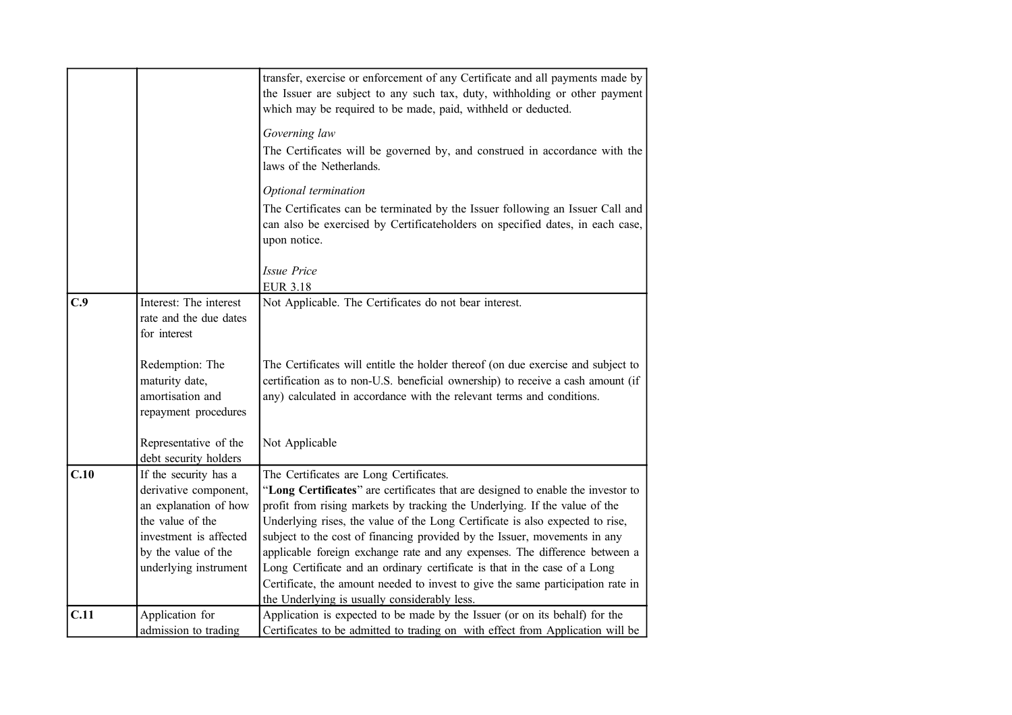|      |                                                                               | transfer, exercise or enforcement of any Certificate and all payments made by<br>the Issuer are subject to any such tax, duty, withholding or other payment                                                                                  |
|------|-------------------------------------------------------------------------------|----------------------------------------------------------------------------------------------------------------------------------------------------------------------------------------------------------------------------------------------|
|      |                                                                               | which may be required to be made, paid, withheld or deducted.                                                                                                                                                                                |
|      |                                                                               | Governing law                                                                                                                                                                                                                                |
|      |                                                                               | The Certificates will be governed by, and construed in accordance with the<br>laws of the Netherlands.                                                                                                                                       |
|      |                                                                               | Optional termination                                                                                                                                                                                                                         |
|      |                                                                               | The Certificates can be terminated by the Issuer following an Issuer Call and                                                                                                                                                                |
|      |                                                                               | can also be exercised by Certificateholders on specified dates, in each case,<br>upon notice.                                                                                                                                                |
|      |                                                                               | <b>Issue Price</b>                                                                                                                                                                                                                           |
|      |                                                                               | <b>EUR 3.18</b>                                                                                                                                                                                                                              |
| C.9  | Interest: The interest                                                        | Not Applicable. The Certificates do not bear interest.                                                                                                                                                                                       |
|      | rate and the due dates<br>for interest                                        |                                                                                                                                                                                                                                              |
|      | Redemption: The<br>maturity date,<br>amortisation and<br>repayment procedures | The Certificates will entitle the holder thereof (on due exercise and subject to<br>certification as to non-U.S. beneficial ownership) to receive a cash amount (if<br>any) calculated in accordance with the relevant terms and conditions. |
|      | Representative of the<br>debt security holders                                | Not Applicable                                                                                                                                                                                                                               |
| C.10 | If the security has a                                                         | The Certificates are Long Certificates.                                                                                                                                                                                                      |
|      | derivative component,                                                         | "Long Certificates" are certificates that are designed to enable the investor to                                                                                                                                                             |
|      | an explanation of how                                                         | profit from rising markets by tracking the Underlying. If the value of the                                                                                                                                                                   |
|      | the value of the                                                              | Underlying rises, the value of the Long Certificate is also expected to rise,                                                                                                                                                                |
|      | investment is affected                                                        | subject to the cost of financing provided by the Issuer, movements in any                                                                                                                                                                    |
|      | by the value of the                                                           | applicable foreign exchange rate and any expenses. The difference between a                                                                                                                                                                  |
|      | underlying instrument                                                         | Long Certificate and an ordinary certificate is that in the case of a Long<br>Certificate, the amount needed to invest to give the same participation rate in                                                                                |
|      |                                                                               | the Underlying is usually considerably less.                                                                                                                                                                                                 |
| C.11 | Application for                                                               | Application is expected to be made by the Issuer (or on its behalf) for the                                                                                                                                                                  |
|      | admission to trading                                                          | Certificates to be admitted to trading on with effect from Application will be                                                                                                                                                               |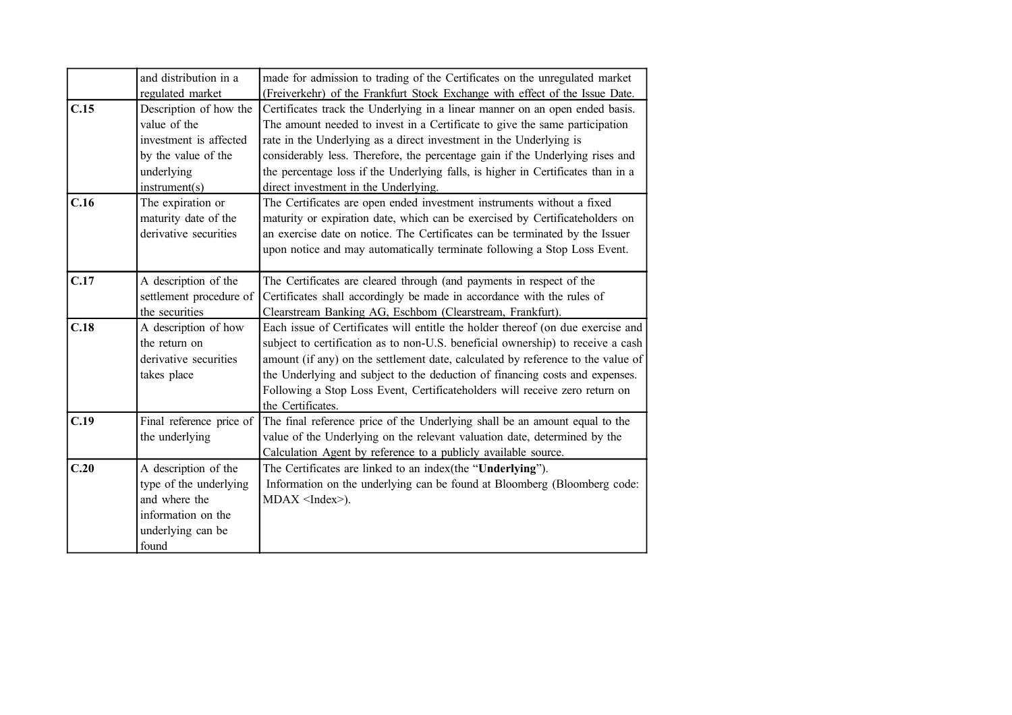|      | and distribution in a<br>regulated market                                                                              | made for admission to trading of the Certificates on the unregulated market<br>(Freiverkehr) of the Frankfurt Stock Exchange with effect of the Issue Date.                                                                                                                                                                                                                                                                                    |
|------|------------------------------------------------------------------------------------------------------------------------|------------------------------------------------------------------------------------------------------------------------------------------------------------------------------------------------------------------------------------------------------------------------------------------------------------------------------------------------------------------------------------------------------------------------------------------------|
| C.15 | Description of how the<br>value of the<br>investment is affected<br>by the value of the<br>underlying<br>instrument(s) | Certificates track the Underlying in a linear manner on an open ended basis.<br>The amount needed to invest in a Certificate to give the same participation<br>rate in the Underlying as a direct investment in the Underlying is<br>considerably less. Therefore, the percentage gain if the Underlying rises and<br>the percentage loss if the Underlying falls, is higher in Certificates than in a<br>direct investment in the Underlying. |
| C.16 | The expiration or<br>maturity date of the<br>derivative securities                                                     | The Certificates are open ended investment instruments without a fixed<br>maturity or expiration date, which can be exercised by Certificateholders on<br>an exercise date on notice. The Certificates can be terminated by the Issuer<br>upon notice and may automatically terminate following a Stop Loss Event.                                                                                                                             |
| C.17 | A description of the<br>settlement procedure of<br>the securities                                                      | The Certificates are cleared through (and payments in respect of the<br>Certificates shall accordingly be made in accordance with the rules of<br>Clearstream Banking AG, Eschbom (Clearstream, Frankfurt).                                                                                                                                                                                                                                    |
| C.18 | A description of how<br>the return on<br>derivative securities<br>takes place                                          | Each issue of Certificates will entitle the holder thereof (on due exercise and<br>subject to certification as to non-U.S. beneficial ownership) to receive a cash<br>amount (if any) on the settlement date, calculated by reference to the value of<br>the Underlying and subject to the deduction of financing costs and expenses.<br>Following a Stop Loss Event, Certificateholders will receive zero return on<br>the Certificates.      |
| C.19 | Final reference price of<br>the underlying                                                                             | The final reference price of the Underlying shall be an amount equal to the<br>value of the Underlying on the relevant valuation date, determined by the<br>Calculation Agent by reference to a publicly available source.                                                                                                                                                                                                                     |
| C.20 | A description of the<br>type of the underlying<br>and where the<br>information on the<br>underlying can be<br>found    | The Certificates are linked to an index(the "Underlying").<br>Information on the underlying can be found at Bloomberg (Bloomberg code:<br>$MDAX$ <index>).</index>                                                                                                                                                                                                                                                                             |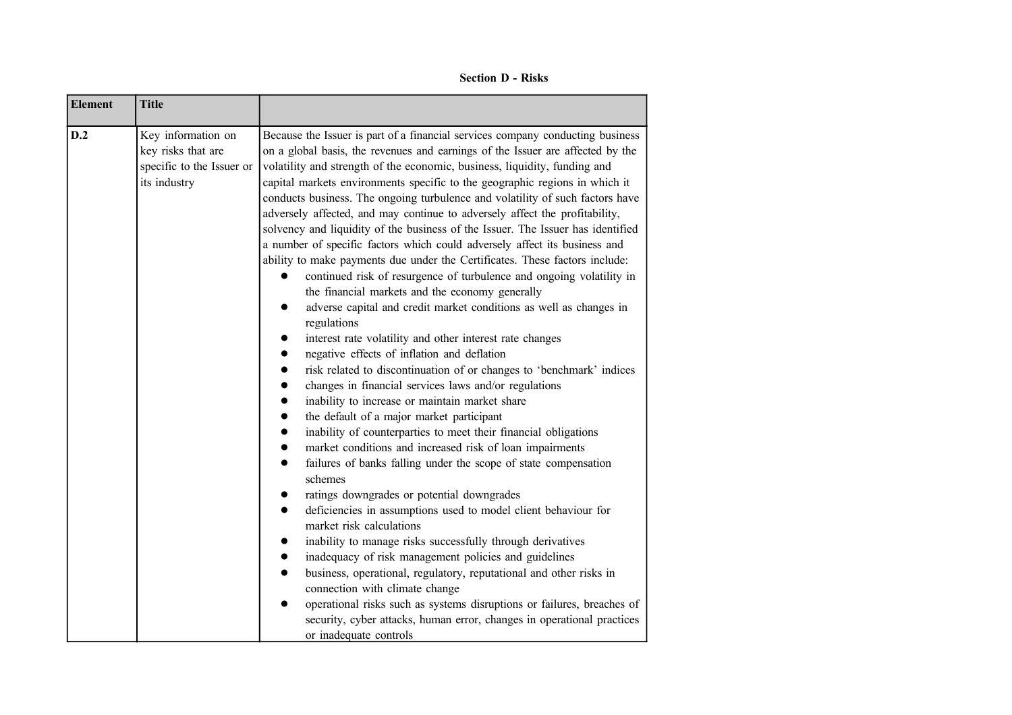**Section D - Risks**

| <b>Element</b> | <b>Title</b>                                                                          |                                                                                                                                                                                                                                                                                                                                                                                                                                                                                                                                                                                                                                                                                                                                                                                                                                                                                                                                                                                                                                                                                                                                                                                                                                                                                                                                                                                                                                                                                                                                                                                                                                                                                                                                                                                                                                                                                                                                                                                                                                                                                                                      |
|----------------|---------------------------------------------------------------------------------------|----------------------------------------------------------------------------------------------------------------------------------------------------------------------------------------------------------------------------------------------------------------------------------------------------------------------------------------------------------------------------------------------------------------------------------------------------------------------------------------------------------------------------------------------------------------------------------------------------------------------------------------------------------------------------------------------------------------------------------------------------------------------------------------------------------------------------------------------------------------------------------------------------------------------------------------------------------------------------------------------------------------------------------------------------------------------------------------------------------------------------------------------------------------------------------------------------------------------------------------------------------------------------------------------------------------------------------------------------------------------------------------------------------------------------------------------------------------------------------------------------------------------------------------------------------------------------------------------------------------------------------------------------------------------------------------------------------------------------------------------------------------------------------------------------------------------------------------------------------------------------------------------------------------------------------------------------------------------------------------------------------------------------------------------------------------------------------------------------------------------|
| D.2            | Key information on<br>key risks that are<br>specific to the Issuer or<br>its industry | Because the Issuer is part of a financial services company conducting business<br>on a global basis, the revenues and earnings of the Issuer are affected by the<br>volatility and strength of the economic, business, liquidity, funding and<br>capital markets environments specific to the geographic regions in which it<br>conducts business. The ongoing turbulence and volatility of such factors have<br>adversely affected, and may continue to adversely affect the profitability,<br>solvency and liquidity of the business of the Issuer. The Issuer has identified<br>a number of specific factors which could adversely affect its business and<br>ability to make payments due under the Certificates. These factors include:<br>continued risk of resurgence of turbulence and ongoing volatility in<br>the financial markets and the economy generally<br>adverse capital and credit market conditions as well as changes in<br>regulations<br>interest rate volatility and other interest rate changes<br>negative effects of inflation and deflation<br>risk related to discontinuation of or changes to 'benchmark' indices<br>changes in financial services laws and/or regulations<br>inability to increase or maintain market share<br>the default of a major market participant<br>$\bullet$<br>inability of counterparties to meet their financial obligations<br>market conditions and increased risk of loan impairments<br>$\bullet$<br>failures of banks falling under the scope of state compensation<br>$\bullet$<br>schemes<br>ratings downgrades or potential downgrades<br>deficiencies in assumptions used to model client behaviour for<br>market risk calculations<br>inability to manage risks successfully through derivatives<br>inadequacy of risk management policies and guidelines<br>business, operational, regulatory, reputational and other risks in<br>connection with climate change<br>operational risks such as systems disruptions or failures, breaches of<br>security, cyber attacks, human error, changes in operational practices<br>or inadequate controls |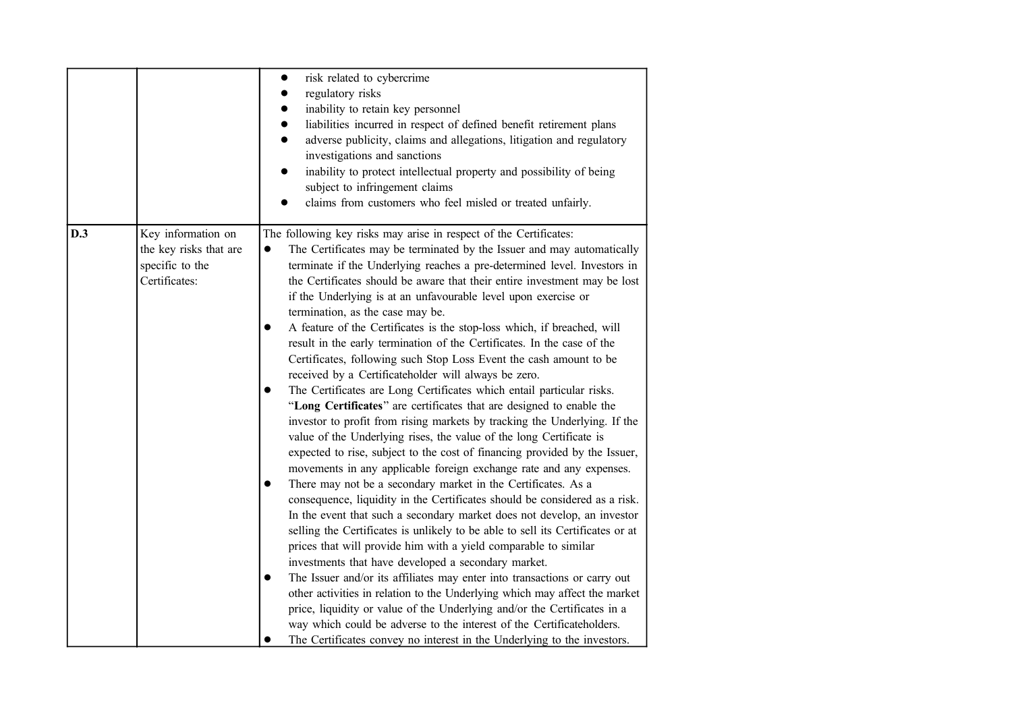|     |                                                                                  | risk related to cybercrime<br>regulatory risks<br>inability to retain key personnel<br>liabilities incurred in respect of defined benefit retirement plans<br>adverse publicity, claims and allegations, litigation and regulatory<br>$\bullet$<br>investigations and sanctions<br>inability to protect intellectual property and possibility of being<br>$\bullet$<br>subject to infringement claims<br>claims from customers who feel misled or treated unfairly.                                                                                                                                                                                                                                                                                                                                                                                                                                                                                                                                                                                                                                                                                                                                                                                                                                                                                                                                                                                                                                                                                                                                                                                                                                                                                                                                                                                                                                                                                                                                                                           |
|-----|----------------------------------------------------------------------------------|-----------------------------------------------------------------------------------------------------------------------------------------------------------------------------------------------------------------------------------------------------------------------------------------------------------------------------------------------------------------------------------------------------------------------------------------------------------------------------------------------------------------------------------------------------------------------------------------------------------------------------------------------------------------------------------------------------------------------------------------------------------------------------------------------------------------------------------------------------------------------------------------------------------------------------------------------------------------------------------------------------------------------------------------------------------------------------------------------------------------------------------------------------------------------------------------------------------------------------------------------------------------------------------------------------------------------------------------------------------------------------------------------------------------------------------------------------------------------------------------------------------------------------------------------------------------------------------------------------------------------------------------------------------------------------------------------------------------------------------------------------------------------------------------------------------------------------------------------------------------------------------------------------------------------------------------------------------------------------------------------------------------------------------------------|
| D.3 | Key information on<br>the key risks that are<br>specific to the<br>Certificates: | The following key risks may arise in respect of the Certificates:<br>The Certificates may be terminated by the Issuer and may automatically<br>$\bullet$<br>terminate if the Underlying reaches a pre-determined level. Investors in<br>the Certificates should be aware that their entire investment may be lost<br>if the Underlying is at an unfavourable level upon exercise or<br>termination, as the case may be.<br>A feature of the Certificates is the stop-loss which, if breached, will<br>$\bullet$<br>result in the early termination of the Certificates. In the case of the<br>Certificates, following such Stop Loss Event the cash amount to be<br>received by a Certificateholder will always be zero.<br>The Certificates are Long Certificates which entail particular risks.<br>$\bullet$<br>"Long Certificates" are certificates that are designed to enable the<br>investor to profit from rising markets by tracking the Underlying. If the<br>value of the Underlying rises, the value of the long Certificate is<br>expected to rise, subject to the cost of financing provided by the Issuer,<br>movements in any applicable foreign exchange rate and any expenses.<br>There may not be a secondary market in the Certificates. As a<br>consequence, liquidity in the Certificates should be considered as a risk.<br>In the event that such a secondary market does not develop, an investor<br>selling the Certificates is unlikely to be able to sell its Certificates or at<br>prices that will provide him with a yield comparable to similar<br>investments that have developed a secondary market.<br>The Issuer and/or its affiliates may enter into transactions or carry out<br>$\bullet$<br>other activities in relation to the Underlying which may affect the market<br>price, liquidity or value of the Underlying and/or the Certificates in a<br>way which could be adverse to the interest of the Certificateholders.<br>The Certificates convey no interest in the Underlying to the investors. |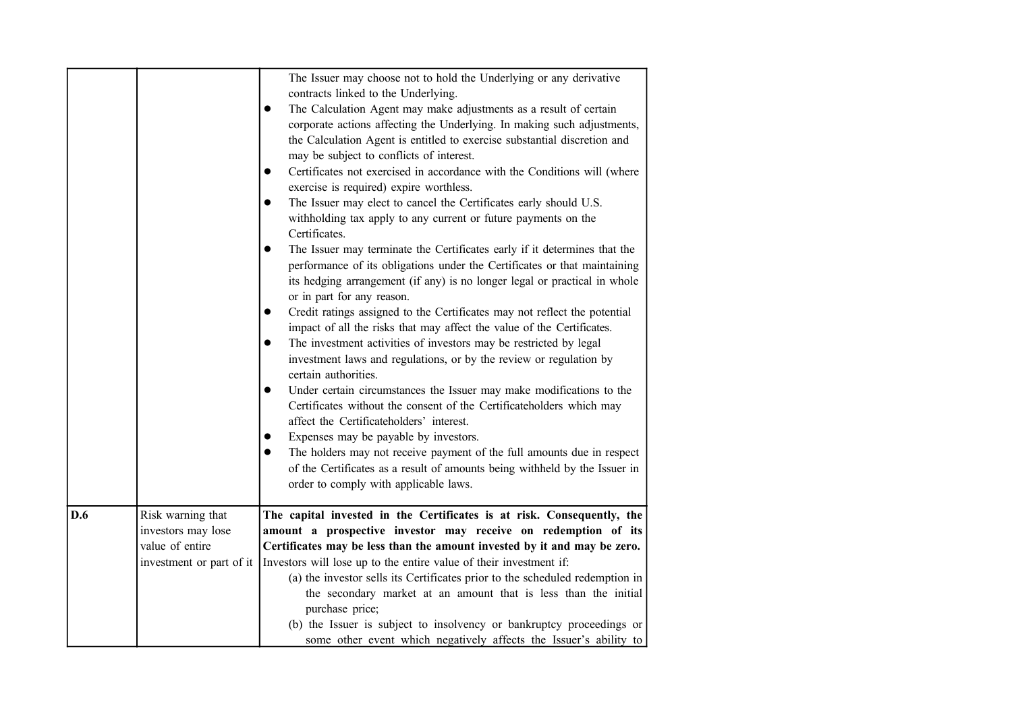|     |                                                                                        | The Issuer may choose not to hold the Underlying or any derivative<br>contracts linked to the Underlying.<br>The Calculation Agent may make adjustments as a result of certain<br>$\bullet$<br>corporate actions affecting the Underlying. In making such adjustments,<br>the Calculation Agent is entitled to exercise substantial discretion and<br>may be subject to conflicts of interest.<br>Certificates not exercised in accordance with the Conditions will (where<br>$\bullet$<br>exercise is required) expire worthless.<br>The Issuer may elect to cancel the Certificates early should U.S.<br>$\bullet$<br>withholding tax apply to any current or future payments on the<br>Certificates.<br>The Issuer may terminate the Certificates early if it determines that the<br>$\bullet$<br>performance of its obligations under the Certificates or that maintaining<br>its hedging arrangement (if any) is no longer legal or practical in whole<br>or in part for any reason.<br>Credit ratings assigned to the Certificates may not reflect the potential<br>$\bullet$<br>impact of all the risks that may affect the value of the Certificates.<br>The investment activities of investors may be restricted by legal<br>$\bullet$<br>investment laws and regulations, or by the review or regulation by<br>certain authorities.<br>Under certain circumstances the Issuer may make modifications to the<br>$\bullet$<br>Certificates without the consent of the Certificateholders which may<br>affect the Certificateholders' interest.<br>Expenses may be payable by investors.<br>$\bullet$<br>The holders may not receive payment of the full amounts due in respect<br>$\bullet$<br>of the Certificates as a result of amounts being withheld by the Issuer in |
|-----|----------------------------------------------------------------------------------------|-----------------------------------------------------------------------------------------------------------------------------------------------------------------------------------------------------------------------------------------------------------------------------------------------------------------------------------------------------------------------------------------------------------------------------------------------------------------------------------------------------------------------------------------------------------------------------------------------------------------------------------------------------------------------------------------------------------------------------------------------------------------------------------------------------------------------------------------------------------------------------------------------------------------------------------------------------------------------------------------------------------------------------------------------------------------------------------------------------------------------------------------------------------------------------------------------------------------------------------------------------------------------------------------------------------------------------------------------------------------------------------------------------------------------------------------------------------------------------------------------------------------------------------------------------------------------------------------------------------------------------------------------------------------------------------------------------------------------------------------------------------------------------------|
|     |                                                                                        | order to comply with applicable laws.                                                                                                                                                                                                                                                                                                                                                                                                                                                                                                                                                                                                                                                                                                                                                                                                                                                                                                                                                                                                                                                                                                                                                                                                                                                                                                                                                                                                                                                                                                                                                                                                                                                                                                                                             |
| D.6 | Risk warning that<br>investors may lose<br>value of entire<br>investment or part of it | The capital invested in the Certificates is at risk. Consequently, the<br>amount a prospective investor may receive on redemption of its<br>Certificates may be less than the amount invested by it and may be zero.<br>Investors will lose up to the entire value of their investment if:<br>(a) the investor sells its Certificates prior to the scheduled redemption in<br>the secondary market at an amount that is less than the initial<br>purchase price;<br>(b) the Issuer is subject to insolvency or bankruptcy proceedings or<br>some other event which negatively affects the Issuer's ability to                                                                                                                                                                                                                                                                                                                                                                                                                                                                                                                                                                                                                                                                                                                                                                                                                                                                                                                                                                                                                                                                                                                                                                     |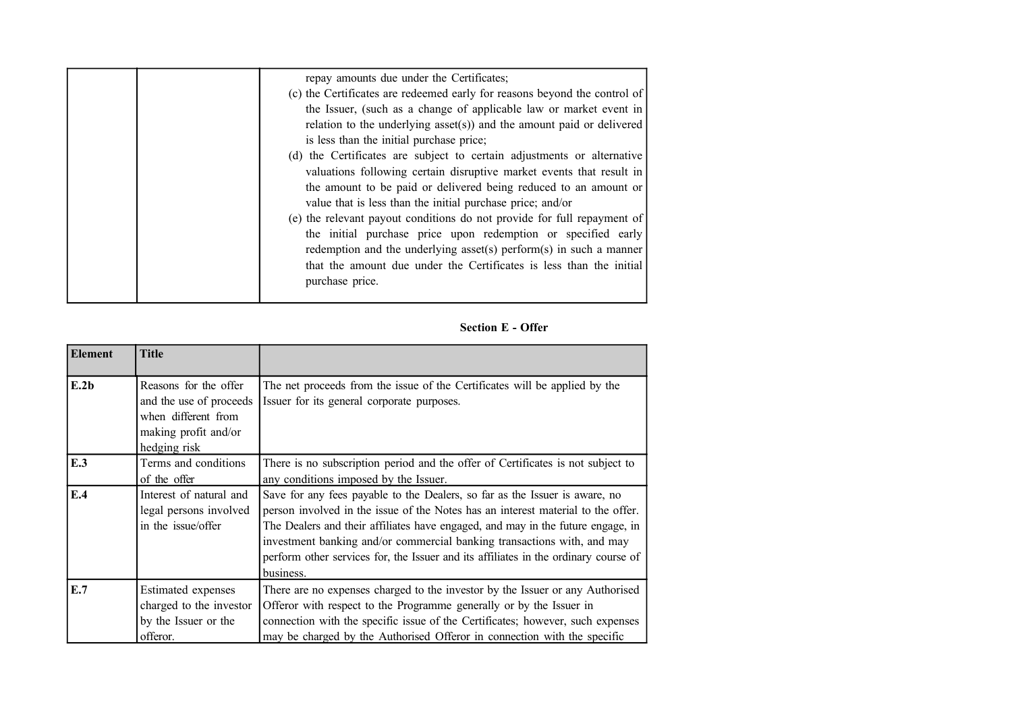|  | repay amounts due under the Certificates;                                 |
|--|---------------------------------------------------------------------------|
|  | (c) the Certificates are redeemed early for reasons beyond the control of |
|  | the Issuer, (such as a change of applicable law or market event in        |
|  | relation to the underlying asset(s)) and the amount paid or delivered     |
|  | is less than the initial purchase price;                                  |
|  | (d) the Certificates are subject to certain adjustments or alternative    |
|  | valuations following certain disruptive market events that result in      |
|  | the amount to be paid or delivered being reduced to an amount or          |
|  | value that is less than the initial purchase price; and/or                |
|  | (e) the relevant payout conditions do not provide for full repayment of   |
|  | the initial purchase price upon redemption or specified early             |
|  | redemption and the underlying asset(s) perform(s) in such a manner        |
|  | that the amount due under the Certificates is less than the initial       |
|  | purchase price.                                                           |
|  |                                                                           |

**Section E - Offer**

| Element | <b>Title</b>                                                                                                    |                                                                                                                                                                                                                                                                                                                                                                                                                                   |
|---------|-----------------------------------------------------------------------------------------------------------------|-----------------------------------------------------------------------------------------------------------------------------------------------------------------------------------------------------------------------------------------------------------------------------------------------------------------------------------------------------------------------------------------------------------------------------------|
| E.2b    | Reasons for the offer<br>and the use of proceeds<br>when different from<br>making profit and/or<br>hedging risk | The net proceeds from the issue of the Certificates will be applied by the<br>Issuer for its general corporate purposes.                                                                                                                                                                                                                                                                                                          |
| E.3     | Terms and conditions<br>of the offer                                                                            | There is no subscription period and the offer of Certificates is not subject to<br>any conditions imposed by the Issuer.                                                                                                                                                                                                                                                                                                          |
| E.4     | Interest of natural and<br>legal persons involved<br>in the issue/offer                                         | Save for any fees payable to the Dealers, so far as the Issuer is aware, no<br>person involved in the issue of the Notes has an interest material to the offer.<br>The Dealers and their affiliates have engaged, and may in the future engage, in<br>investment banking and/or commercial banking transactions with, and may<br>perform other services for, the Issuer and its affiliates in the ordinary course of<br>business. |
| E.7     | <b>Estimated</b> expenses<br>charged to the investor<br>by the Issuer or the<br>offeror.                        | There are no expenses charged to the investor by the Issuer or any Authorised<br>Offeror with respect to the Programme generally or by the Issuer in<br>connection with the specific issue of the Certificates; however, such expenses<br>may be charged by the Authorised Offeror in connection with the specific                                                                                                                |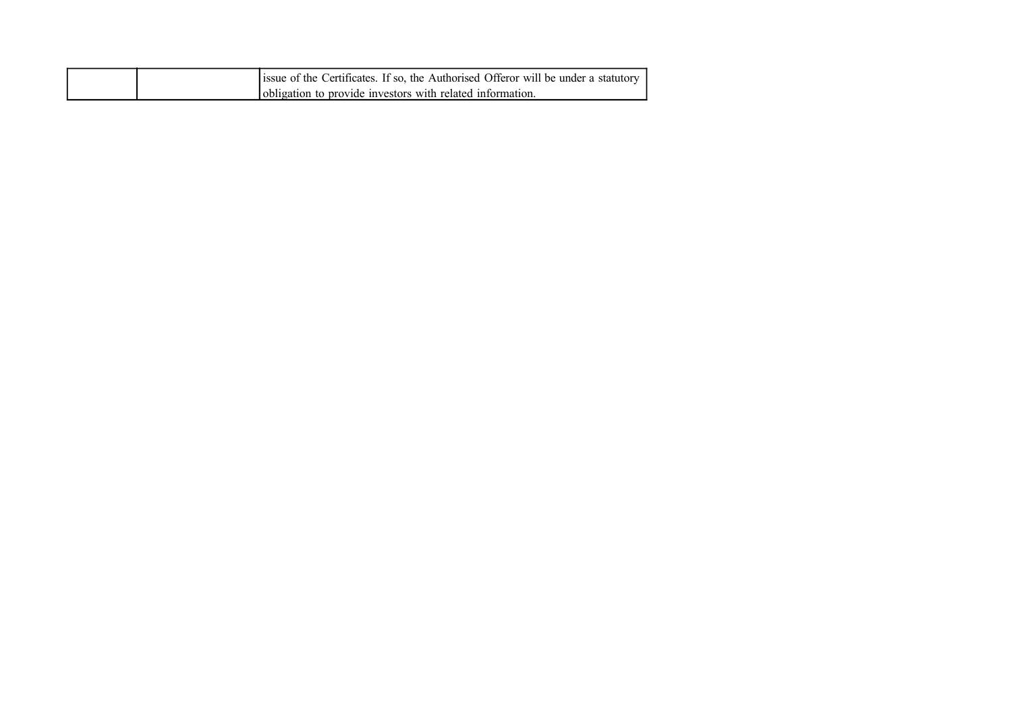|  | issue of the Certificates. If so, the Authorised Offeror will be under a statutory |
|--|------------------------------------------------------------------------------------|
|  | obligation to provide investors with related information.                          |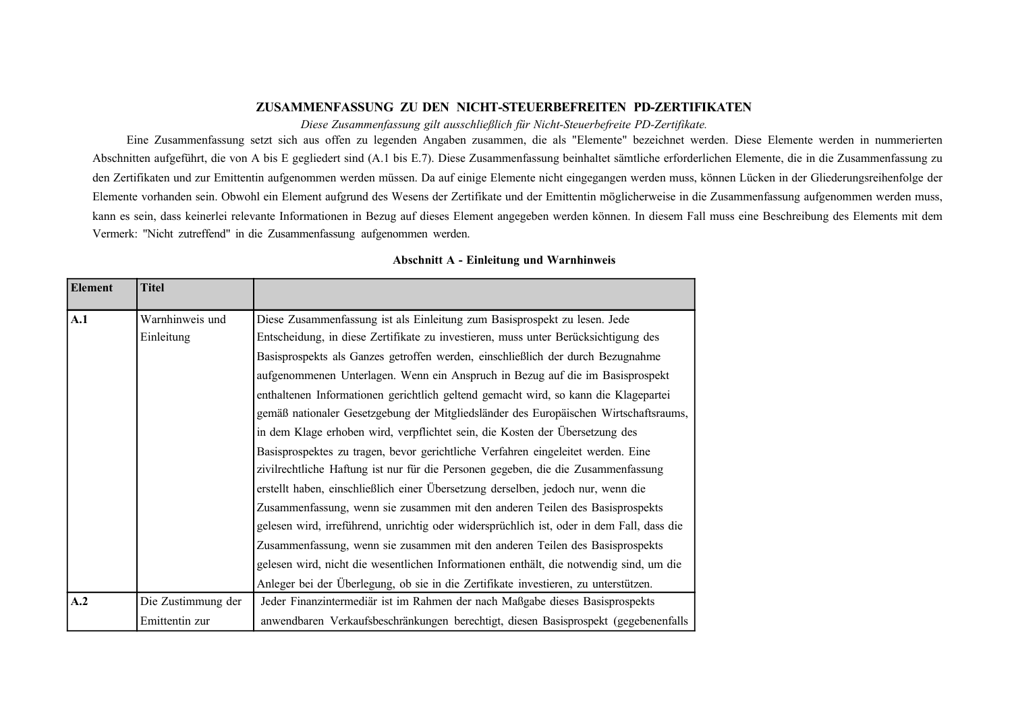## **ZUSAMMENFASSUNG ZU DEN NICHT-STEUERBEFREITEN PD-ZERTIFIKATEN**

*Diese Zusammenfassung gilt ausschließlich für Nicht-Steuerbefreite PD-Zertifikate.*

Eine Zusammenfassung setzt sich aus offen zu legenden Angaben zusammen, die als "Elemente" bezeichnet werden. Diese Elemente werden in nummerierten Abschnitten aufgeführt, die von A bis E gegliedert sind (A.1 bis E.7). Diese Zusammenfassung beinhaltet sämtliche erforderlichen Elemente, die in die Zusammenfassung zu den Zertifikaten und zur Emittentin aufgenommen werden müssen. Da auf einige Elemente nicht eingegangen werden muss, können Lücken in der Gliederungsreihenfolge der Elemente vorhanden sein. Obwohl ein Element aufgrund des Wesens der Zertifikate und der Emittentin möglicherweise in die Zusammenfassung aufgenommen werden muss, kann es sein, dass keinerlei relevante Informationen in Bezug auf dieses Element angegeben werden können. In diesem Fall muss eine Beschreibung des Elements mit dem Vermerk: "Nicht zutreffend" in die Zusammenfassung aufgenommen werden.

| <b>Element</b> | <b>Titel</b>       |                                                                                           |
|----------------|--------------------|-------------------------------------------------------------------------------------------|
| A.1            | Warnhinweis und    | Diese Zusammenfassung ist als Einleitung zum Basisprospekt zu lesen. Jede                 |
|                | Einleitung         | Entscheidung, in diese Zertifikate zu investieren, muss unter Berücksichtigung des        |
|                |                    | Basisprospekts als Ganzes getroffen werden, einschließlich der durch Bezugnahme           |
|                |                    | aufgenommenen Unterlagen. Wenn ein Anspruch in Bezug auf die im Basisprospekt             |
|                |                    | enthaltenen Informationen gerichtlich geltend gemacht wird, so kann die Klagepartei       |
|                |                    | gemäß nationaler Gesetzgebung der Mitgliedsländer des Europäischen Wirtschaftsraums,      |
|                |                    | in dem Klage erhoben wird, verpflichtet sein, die Kosten der Übersetzung des              |
|                |                    | Basisprospektes zu tragen, bevor gerichtliche Verfahren eingeleitet werden. Eine          |
|                |                    | zivilrechtliche Haftung ist nur für die Personen gegeben, die die Zusammenfassung         |
|                |                    | erstellt haben, einschließlich einer Übersetzung derselben, jedoch nur, wenn die          |
|                |                    | Zusammenfassung, wenn sie zusammen mit den anderen Teilen des Basisprospekts              |
|                |                    | gelesen wird, irreführend, unrichtig oder widersprüchlich ist, oder in dem Fall, dass die |
|                |                    | Zusammenfassung, wenn sie zusammen mit den anderen Teilen des Basisprospekts              |
|                |                    | gelesen wird, nicht die wesentlichen Informationen enthält, die notwendig sind, um die    |
|                |                    | Anleger bei der Überlegung, ob sie in die Zertifikate investieren, zu unterstützen.       |
| A.2            | Die Zustimmung der | Jeder Finanzintermediär ist im Rahmen der nach Maßgabe dieses Basisprospekts              |
|                | Emittentin zur     | anwendbaren Verkaufsbeschränkungen berechtigt, diesen Basisprospekt (gegebenenfalls       |

## **Abschnitt A - Einleitung und Warnhinweis**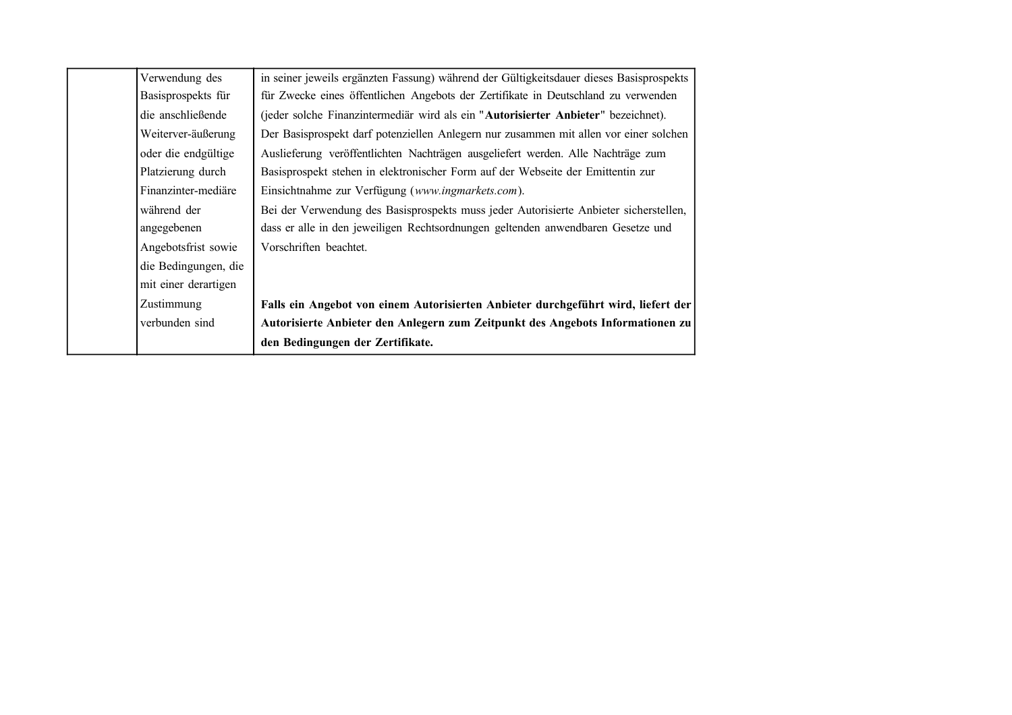| Verwendung des       | in seiner jeweils ergänzten Fassung) während der Gültigkeitsdauer dieses Basisprospekts |
|----------------------|-----------------------------------------------------------------------------------------|
| Basisprospekts für   | für Zwecke eines öffentlichen Angebots der Zertifikate in Deutschland zu verwenden      |
| die anschließende    | (jeder solche Finanzintermediär wird als ein "Autorisierter Anbieter" bezeichnet).      |
| Weiterver-äußerung   | Der Basisprospekt darf potenziellen Anlegern nur zusammen mit allen vor einer solchen   |
| oder die endgültige  | Auslieferung veröffentlichten Nachträgen ausgeliefert werden. Alle Nachträge zum        |
| Platzierung durch    | Basisprospekt stehen in elektronischer Form auf der Webseite der Emittentin zur         |
| Finanzinter-mediäre  | Einsichtnahme zur Verfügung (www.ingmarkets.com).                                       |
| während der          | Bei der Verwendung des Basisprospekts muss jeder Autorisierte Anbieter sicherstellen,   |
| angegebenen          | dass er alle in den jeweiligen Rechtsordnungen geltenden anwendbaren Gesetze und        |
| Angebotsfrist sowie  | Vorschriften beachtet.                                                                  |
| die Bedingungen, die |                                                                                         |
| mit einer derartigen |                                                                                         |
| Zustimmung           | Falls ein Angebot von einem Autorisierten Anbieter durchgeführt wird, liefert der       |
| verbunden sind       | Autorisierte Anbieter den Anlegern zum Zeitpunkt des Angebots Informationen zu          |
|                      | den Bedingungen der Zertifikate.                                                        |
|                      |                                                                                         |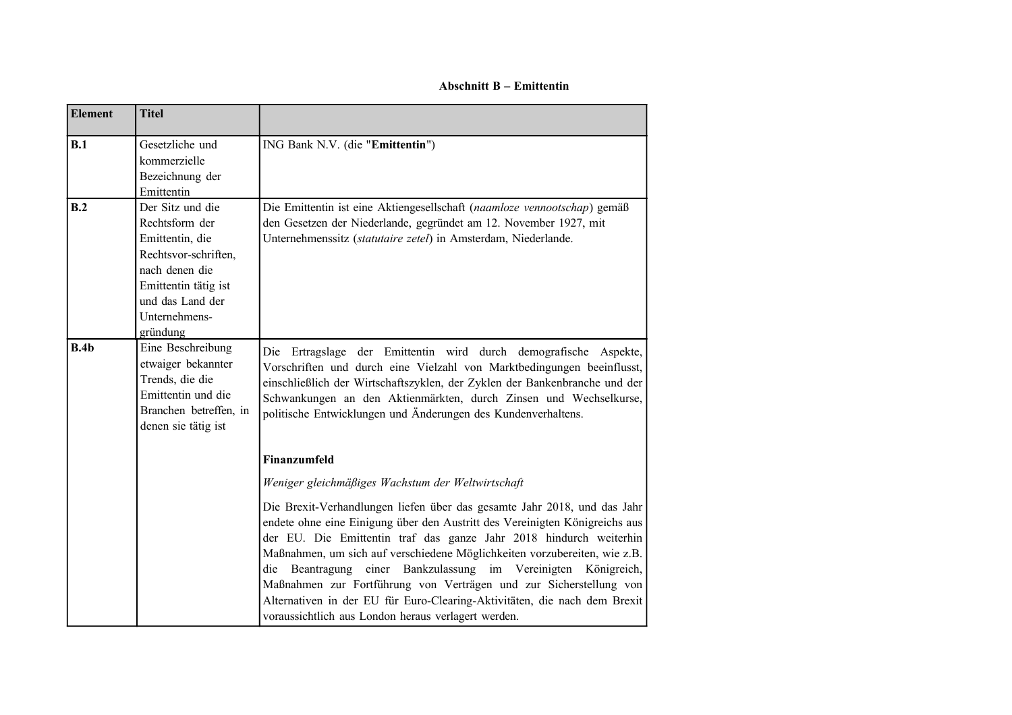**Abschnitt B – Emittentin**

| <b>Element</b> | <b>Titel</b>                                                                                                                                                             |                                                                                                                                                                                                                                                                                                                                                                                                                                                                                                                                                                                                 |
|----------------|--------------------------------------------------------------------------------------------------------------------------------------------------------------------------|-------------------------------------------------------------------------------------------------------------------------------------------------------------------------------------------------------------------------------------------------------------------------------------------------------------------------------------------------------------------------------------------------------------------------------------------------------------------------------------------------------------------------------------------------------------------------------------------------|
| B.1            | Gesetzliche und<br>kommerzielle<br>Bezeichnung der<br>Emittentin                                                                                                         | ING Bank N.V. (die "Emittentin")                                                                                                                                                                                                                                                                                                                                                                                                                                                                                                                                                                |
| B.2            | Der Sitz und die<br>Rechtsform der<br>Emittentin, die<br>Rechtsvor-schriften,<br>nach denen die<br>Emittentin tätig ist<br>und das Land der<br>Unternehmens-<br>gründung | Die Emittentin ist eine Aktiengesellschaft (naamloze vennootschap) gemäß<br>den Gesetzen der Niederlande, gegründet am 12. November 1927, mit<br>Unternehmenssitz (statutaire zetel) in Amsterdam, Niederlande.                                                                                                                                                                                                                                                                                                                                                                                 |
| B.4b           | Eine Beschreibung<br>etwaiger bekannter<br>Trends, die die<br>Emittentin und die<br>Branchen betreffen, in<br>denen sie tätig ist                                        | Ertragslage der Emittentin wird durch demografische Aspekte,<br>Die<br>Vorschriften und durch eine Vielzahl von Marktbedingungen beeinflusst,<br>einschließlich der Wirtschaftszyklen, der Zyklen der Bankenbranche und der<br>Schwankungen an den Aktienmärkten, durch Zinsen und Wechselkurse,<br>politische Entwicklungen und Änderungen des Kundenverhaltens.                                                                                                                                                                                                                               |
|                |                                                                                                                                                                          | Finanzumfeld                                                                                                                                                                                                                                                                                                                                                                                                                                                                                                                                                                                    |
|                |                                                                                                                                                                          | Weniger gleichmäßiges Wachstum der Weltwirtschaft                                                                                                                                                                                                                                                                                                                                                                                                                                                                                                                                               |
|                |                                                                                                                                                                          | Die Brexit-Verhandlungen liefen über das gesamte Jahr 2018, und das Jahr<br>endete ohne eine Einigung über den Austritt des Vereinigten Königreichs aus<br>der EU. Die Emittentin traf das ganze Jahr 2018 hindurch weiterhin<br>Maßnahmen, um sich auf verschiedene Möglichkeiten vorzubereiten, wie z.B.<br>einer Bankzulassung im Vereinigten<br>Beantragung<br>die<br>Königreich,<br>Maßnahmen zur Fortführung von Verträgen und zur Sicherstellung von<br>Alternativen in der EU für Euro-Clearing-Aktivitäten, die nach dem Brexit<br>voraussichtlich aus London heraus verlagert werden. |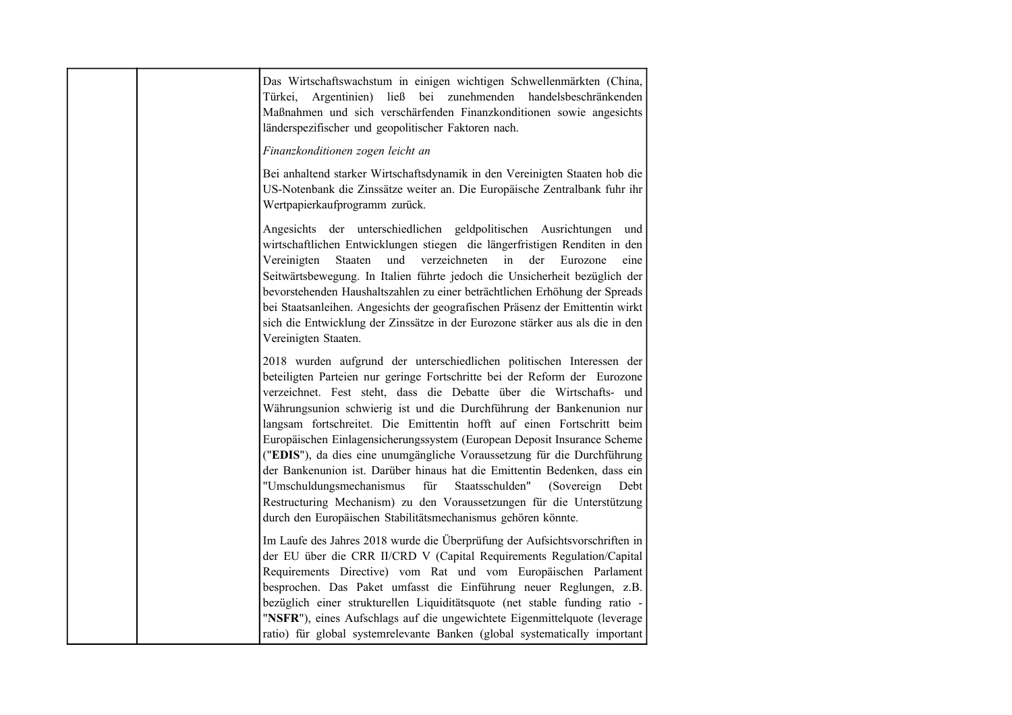| Das Wirtschaftswachstum in einigen wichtigen Schwellenmärkten (China,<br>Türkei, Argentinien) ließ bei zunehmenden handelsbeschränkenden<br>Maßnahmen und sich verschärfenden Finanzkonditionen sowie angesichts<br>länderspezifischer und geopolitischer Faktoren nach.                                                                                                                                                                                                                                                                                                                                                                                                                                                                                                                                                               |
|----------------------------------------------------------------------------------------------------------------------------------------------------------------------------------------------------------------------------------------------------------------------------------------------------------------------------------------------------------------------------------------------------------------------------------------------------------------------------------------------------------------------------------------------------------------------------------------------------------------------------------------------------------------------------------------------------------------------------------------------------------------------------------------------------------------------------------------|
| Finanzkonditionen zogen leicht an                                                                                                                                                                                                                                                                                                                                                                                                                                                                                                                                                                                                                                                                                                                                                                                                      |
| Bei anhaltend starker Wirtschaftsdynamik in den Vereinigten Staaten hob die<br>US-Notenbank die Zinssätze weiter an. Die Europäische Zentralbank fuhr ihr<br>Wertpapierkaufprogramm zurück.                                                                                                                                                                                                                                                                                                                                                                                                                                                                                                                                                                                                                                            |
| Angesichts der unterschiedlichen geldpolitischen Ausrichtungen und<br>wirtschaftlichen Entwicklungen stiegen die längerfristigen Renditen in den<br>Staaten<br>und verzeichneten in der Eurozone<br>Vereinigten<br>eine<br>Seitwärtsbewegung. In Italien führte jedoch die Unsicherheit bezüglich der<br>bevorstehenden Haushaltszahlen zu einer beträchtlichen Erhöhung der Spreads<br>bei Staatsanleihen. Angesichts der geografischen Präsenz der Emittentin wirkt<br>sich die Entwicklung der Zinssätze in der Eurozone stärker aus als die in den<br>Vereinigten Staaten.                                                                                                                                                                                                                                                         |
| 2018 wurden aufgrund der unterschiedlichen politischen Interessen der<br>beteiligten Parteien nur geringe Fortschritte bei der Reform der Eurozone<br>verzeichnet. Fest steht, dass die Debatte über die Wirtschafts- und<br>Währungsunion schwierig ist und die Durchführung der Bankenunion nur<br>langsam fortschreitet. Die Emittentin hofft auf einen Fortschritt beim<br>Europäischen Einlagensicherungssystem (European Deposit Insurance Scheme<br>("EDIS"), da dies eine unumgängliche Voraussetzung für die Durchführung<br>der Bankenunion ist. Darüber hinaus hat die Emittentin Bedenken, dass ein<br>"Umschuldungsmechanismus<br>für<br>Staatsschulden"<br>(Sovereign)<br>Debt<br>Restructuring Mechanism) zu den Voraussetzungen für die Unterstützung<br>durch den Europäischen Stabilitätsmechanismus gehören könnte. |
| Im Laufe des Jahres 2018 wurde die Überprüfung der Aufsichtsvorschriften in<br>der EU über die CRR II/CRD V (Capital Requirements Regulation/Capital<br>Requirements Directive) vom Rat und vom Europäischen Parlament<br>besprochen. Das Paket umfasst die Einführung neuer Reglungen, z.B.<br>bezüglich einer strukturellen Liquiditätsquote (net stable funding ratio -<br>"NSFR"), eines Aufschlags auf die ungewichtete Eigenmittelquote (leverage<br>ratio) für global systemrelevante Banken (global systematically important                                                                                                                                                                                                                                                                                                   |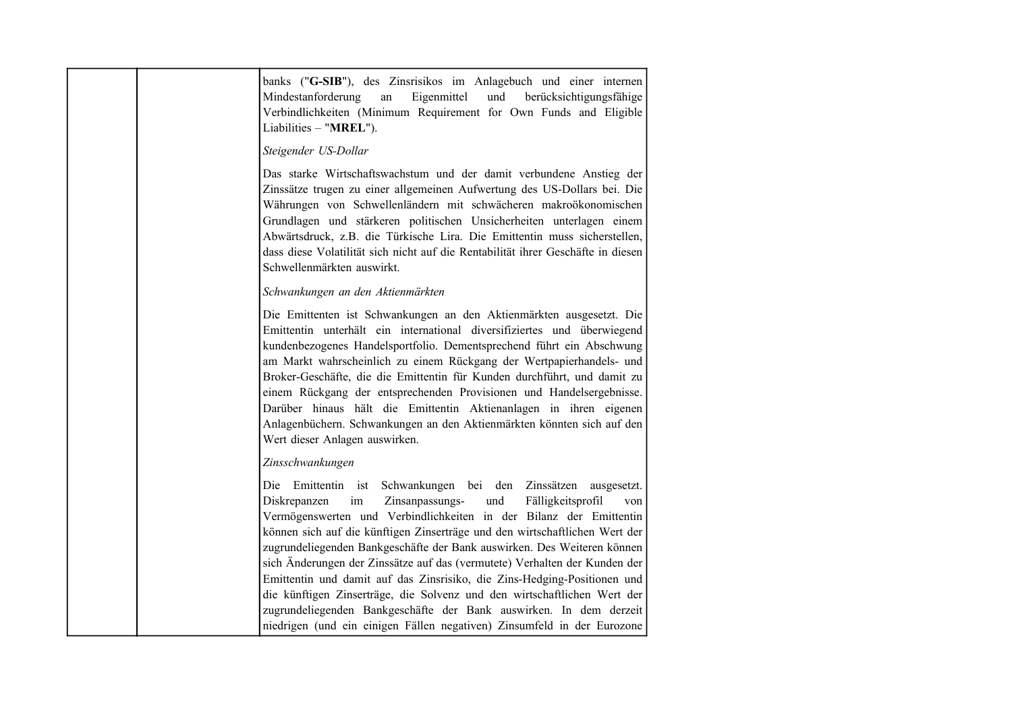| banks ("G-SIB"), des Zinsrisikos im Anlagebuch und einer internen<br>Eigenmittel<br>Mindestanforderung<br>und<br>berücksichtigungsfähige<br>${\rm an}$<br>Verbindlichkeiten (Minimum Requirement for Own Funds and Eligible<br>Liabilities - "MREL").                                                                                                                                                                                                                                                                                                                                                                                                                                  |
|----------------------------------------------------------------------------------------------------------------------------------------------------------------------------------------------------------------------------------------------------------------------------------------------------------------------------------------------------------------------------------------------------------------------------------------------------------------------------------------------------------------------------------------------------------------------------------------------------------------------------------------------------------------------------------------|
| Steigender US-Dollar                                                                                                                                                                                                                                                                                                                                                                                                                                                                                                                                                                                                                                                                   |
| Das starke Wirtschaftswachstum und der damit verbundene Anstieg der<br>Zinssätze trugen zu einer allgemeinen Aufwertung des US-Dollars bei. Die<br>Währungen von Schwellenländern mit schwächeren makroökonomischen<br>Grundlagen und stärkeren politischen Unsicherheiten unterlagen einem<br>Abwärtsdruck, z.B. die Türkische Lira. Die Emittentin muss sicherstellen,<br>dass diese Volatilität sich nicht auf die Rentabilität ihrer Geschäfte in diesen<br>Schwellenmärkten auswirkt.                                                                                                                                                                                             |
| Schwankungen an den Aktienmärkten                                                                                                                                                                                                                                                                                                                                                                                                                                                                                                                                                                                                                                                      |
| Die Emittenten ist Schwankungen an den Aktienmärkten ausgesetzt. Die<br>Emittentin unterhält ein international diversifiziertes und überwiegend<br>kundenbezogenes Handelsportfolio. Dementsprechend führt ein Abschwung<br>am Markt wahrscheinlich zu einem Rückgang der Wertpapierhandels- und<br>Broker-Geschäfte, die die Emittentin für Kunden durchführt, und damit zu<br>einem Rückgang der entsprechenden Provisionen und Handelsergebnisse.<br>Darüber hinaus hält die Emittentin Aktienanlagen in ihren eigenen<br>Anlagenbüchern. Schwankungen an den Aktienmärkten könnten sich auf den<br>Wert dieser Anlagen auswirken.                                                  |
| Zinsschwankungen                                                                                                                                                                                                                                                                                                                                                                                                                                                                                                                                                                                                                                                                       |
| Die Emittentin ist Schwankungen bei den Zinssätzen ausgesetzt.<br>im<br>Zinsanpassungs-<br>und<br>Diskrepanzen<br>Fälligkeitsprofil<br>von<br>Vermögenswerten und Verbindlichkeiten in der Bilanz der Emittentin<br>können sich auf die künftigen Zinserträge und den wirtschaftlichen Wert der<br>zugrundeliegenden Bankgeschäfte der Bank auswirken. Des Weiteren können<br>sich Änderungen der Zinssätze auf das (vermutete) Verhalten der Kunden der<br>Emittentin und damit auf das Zinsrisiko, die Zins-Hedging-Positionen und<br>die künftigen Zinserträge, die Solvenz und den wirtschaftlichen Wert der<br>zugrundeliegenden Bankgeschäfte der Bank auswirken. In dem derzeit |
| niedrigen (und ein einigen Fällen negativen) Zinsumfeld in der Eurozone                                                                                                                                                                                                                                                                                                                                                                                                                                                                                                                                                                                                                |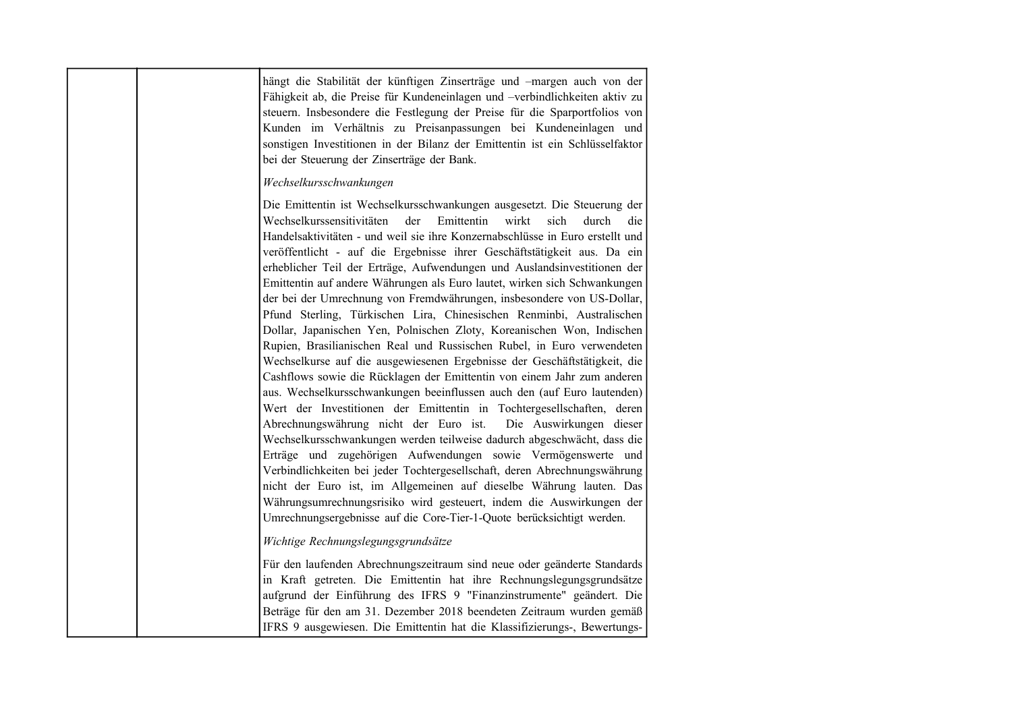|  | hängt die Stabilität der künftigen Zinserträge und -margen auch von der<br>Fähigkeit ab, die Preise für Kundeneinlagen und -verbindlichkeiten aktiv zu<br>steuern. Insbesondere die Festlegung der Preise für die Sparportfolios von<br>Kunden im Verhältnis zu Preisanpassungen bei Kundeneinlagen und<br>sonstigen Investitionen in der Bilanz der Emittentin ist ein Schlüsselfaktor<br>bei der Steuerung der Zinserträge der Bank.                                                                                                                                                                                                                                                                                                                                                                                                                                                                                                                                                                                                                                                                                                                                                                                                                                                                                                                                                                                                                                                                                                            |
|--|---------------------------------------------------------------------------------------------------------------------------------------------------------------------------------------------------------------------------------------------------------------------------------------------------------------------------------------------------------------------------------------------------------------------------------------------------------------------------------------------------------------------------------------------------------------------------------------------------------------------------------------------------------------------------------------------------------------------------------------------------------------------------------------------------------------------------------------------------------------------------------------------------------------------------------------------------------------------------------------------------------------------------------------------------------------------------------------------------------------------------------------------------------------------------------------------------------------------------------------------------------------------------------------------------------------------------------------------------------------------------------------------------------------------------------------------------------------------------------------------------------------------------------------------------|
|  | Wechselkursschwankungen                                                                                                                                                                                                                                                                                                                                                                                                                                                                                                                                                                                                                                                                                                                                                                                                                                                                                                                                                                                                                                                                                                                                                                                                                                                                                                                                                                                                                                                                                                                           |
|  | Die Emittentin ist Wechselkursschwankungen ausgesetzt. Die Steuerung der<br>Emittentin<br>Wechselkurssensitivitäten<br>der<br>wirkt<br>sich<br>durch<br>die<br>Handelsaktivitäten - und weil sie ihre Konzernabschlüsse in Euro erstellt und<br>veröffentlicht - auf die Ergebnisse ihrer Geschäftstätigkeit aus. Da ein<br>erheblicher Teil der Erträge, Aufwendungen und Auslandsinvestitionen der<br>Emittentin auf andere Währungen als Euro lautet, wirken sich Schwankungen<br>der bei der Umrechnung von Fremdwährungen, insbesondere von US-Dollar,<br>Pfund Sterling, Türkischen Lira, Chinesischen Renminbi, Australischen<br>Dollar, Japanischen Yen, Polnischen Zloty, Koreanischen Won, Indischen<br>Rupien, Brasilianischen Real und Russischen Rubel, in Euro verwendeten<br>Wechselkurse auf die ausgewiesenen Ergebnisse der Geschäftstätigkeit, die<br>Cashflows sowie die Rücklagen der Emittentin von einem Jahr zum anderen<br>aus. Wechselkursschwankungen beeinflussen auch den (auf Euro lautenden)<br>Wert der Investitionen der Emittentin in Tochtergesellschaften, deren<br>Abrechnungswährung nicht der Euro ist.<br>Die Auswirkungen dieser<br>Wechselkursschwankungen werden teilweise dadurch abgeschwächt, dass die<br>Erträge und zugehörigen Aufwendungen sowie Vermögenswerte und<br>Verbindlichkeiten bei jeder Tochtergesellschaft, deren Abrechnungswährung<br>nicht der Euro ist, im Allgemeinen auf dieselbe Währung lauten. Das<br>Währungsumrechnungsrisiko wird gesteuert, indem die Auswirkungen der |
|  | Umrechnungsergebnisse auf die Core-Tier-1-Quote berücksichtigt werden.                                                                                                                                                                                                                                                                                                                                                                                                                                                                                                                                                                                                                                                                                                                                                                                                                                                                                                                                                                                                                                                                                                                                                                                                                                                                                                                                                                                                                                                                            |
|  | Wichtige Rechnungslegungsgrundsätze                                                                                                                                                                                                                                                                                                                                                                                                                                                                                                                                                                                                                                                                                                                                                                                                                                                                                                                                                                                                                                                                                                                                                                                                                                                                                                                                                                                                                                                                                                               |
|  | Für den laufenden Abrechnungszeitraum sind neue oder geänderte Standards<br>in Kraft getreten. Die Emittentin hat ihre Rechnungslegungsgrundsätze<br>aufgrund der Einführung des IFRS 9 "Finanzinstrumente" geändert. Die<br>Beträge für den am 31. Dezember 2018 beendeten Zeitraum wurden gemäß<br>IFRS 9 ausgewiesen. Die Emittentin hat die Klassifizierungs-, Bewertungs-                                                                                                                                                                                                                                                                                                                                                                                                                                                                                                                                                                                                                                                                                                                                                                                                                                                                                                                                                                                                                                                                                                                                                                    |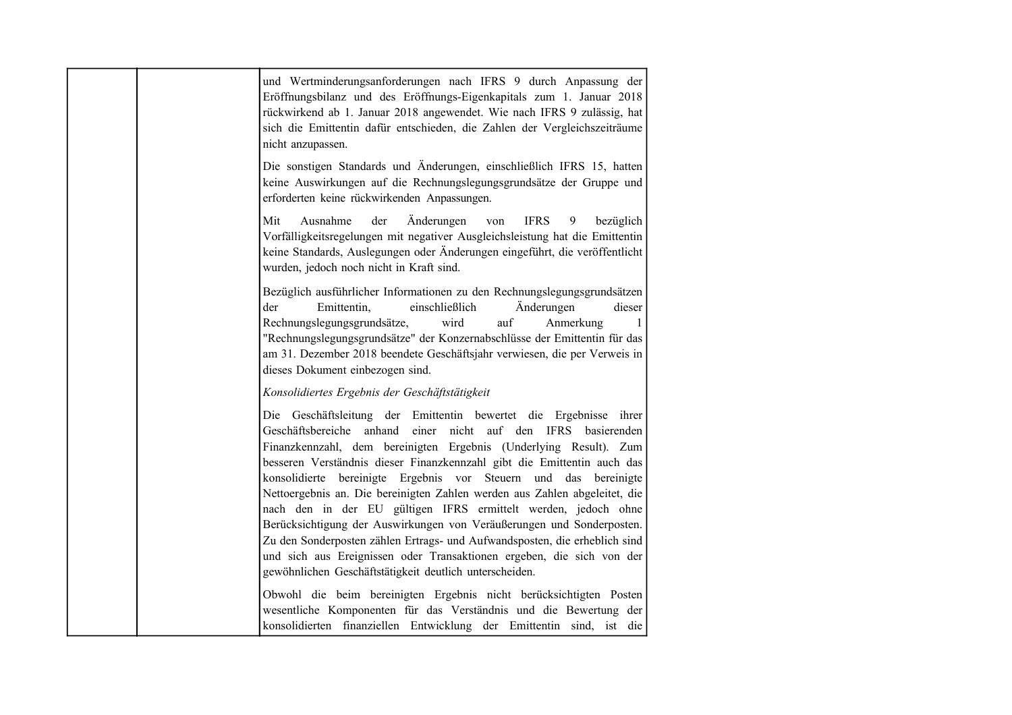| und Wertminderungsanforderungen nach IFRS 9 durch Anpassung der<br>Eröffnungsbilanz und des Eröffnungs-Eigenkapitals zum 1. Januar 2018<br>rückwirkend ab 1. Januar 2018 angewendet. Wie nach IFRS 9 zulässig, hat<br>sich die Emittentin dafür entschieden, die Zahlen der Vergleichszeiträume<br>nicht anzupassen.                                                                                                                                                                                                                                                                                                                                                                                                                      |
|-------------------------------------------------------------------------------------------------------------------------------------------------------------------------------------------------------------------------------------------------------------------------------------------------------------------------------------------------------------------------------------------------------------------------------------------------------------------------------------------------------------------------------------------------------------------------------------------------------------------------------------------------------------------------------------------------------------------------------------------|
| Die sonstigen Standards und Änderungen, einschließlich IFRS 15, hatten<br>keine Auswirkungen auf die Rechnungslegungsgrundsätze der Gruppe und<br>erforderten keine rückwirkenden Anpassungen.                                                                                                                                                                                                                                                                                                                                                                                                                                                                                                                                            |
| Ausnahme<br>der<br>Änderungen<br><b>IFRS</b><br>Mit<br>9<br>bezüglich<br>von<br>Vorfälligkeitsregelungen mit negativer Ausgleichsleistung hat die Emittentin<br>keine Standards, Auslegungen oder Änderungen eingeführt, die veröffentlicht<br>wurden, jedoch noch nicht in Kraft sind.                                                                                                                                                                                                                                                                                                                                                                                                                                                   |
| Bezüglich ausführlicher Informationen zu den Rechnungslegungsgrundsätzen<br>Emittentin,<br>einschließlich<br>Änderungen<br>dieser<br>der<br>Rechnungslegungsgrundsätze,<br>wird<br>auf<br>Anmerkung<br>$\mathbf{1}$<br>"Rechnungslegungsgrundsätze" der Konzernabschlüsse der Emittentin für das<br>am 31. Dezember 2018 beendete Geschäftsjahr verwiesen, die per Verweis in<br>dieses Dokument einbezogen sind.                                                                                                                                                                                                                                                                                                                         |
| Konsolidiertes Ergebnis der Geschäftstätigkeit                                                                                                                                                                                                                                                                                                                                                                                                                                                                                                                                                                                                                                                                                            |
| Die Geschäftsleitung der Emittentin bewertet die Ergebnisse ihrer<br>Geschäftsbereiche anhand<br>einer nicht auf den IFRS basierenden<br>Finanzkennzahl, dem bereinigten Ergebnis (Underlying Result). Zum<br>besseren Verständnis dieser Finanzkennzahl gibt die Emittentin auch das<br>konsolidierte bereinigte Ergebnis vor Steuern und das bereinigte<br>Nettoergebnis an. Die bereinigten Zahlen werden aus Zahlen abgeleitet, die<br>nach den in der EU gültigen IFRS ermittelt werden, jedoch ohne<br>Berücksichtigung der Auswirkungen von Veräußerungen und Sonderposten.<br>Zu den Sonderposten zählen Ertrags- und Aufwandsposten, die erheblich sind<br>und sich aus Ereignissen oder Transaktionen ergeben, die sich von der |
| gewöhnlichen Geschäftstätigkeit deutlich unterscheiden.                                                                                                                                                                                                                                                                                                                                                                                                                                                                                                                                                                                                                                                                                   |
| Obwohl die beim bereinigten Ergebnis nicht berücksichtigten Posten<br>wesentliche Komponenten für das Verständnis und die Bewertung der<br>konsolidierten finanziellen Entwicklung der Emittentin sind, ist die                                                                                                                                                                                                                                                                                                                                                                                                                                                                                                                           |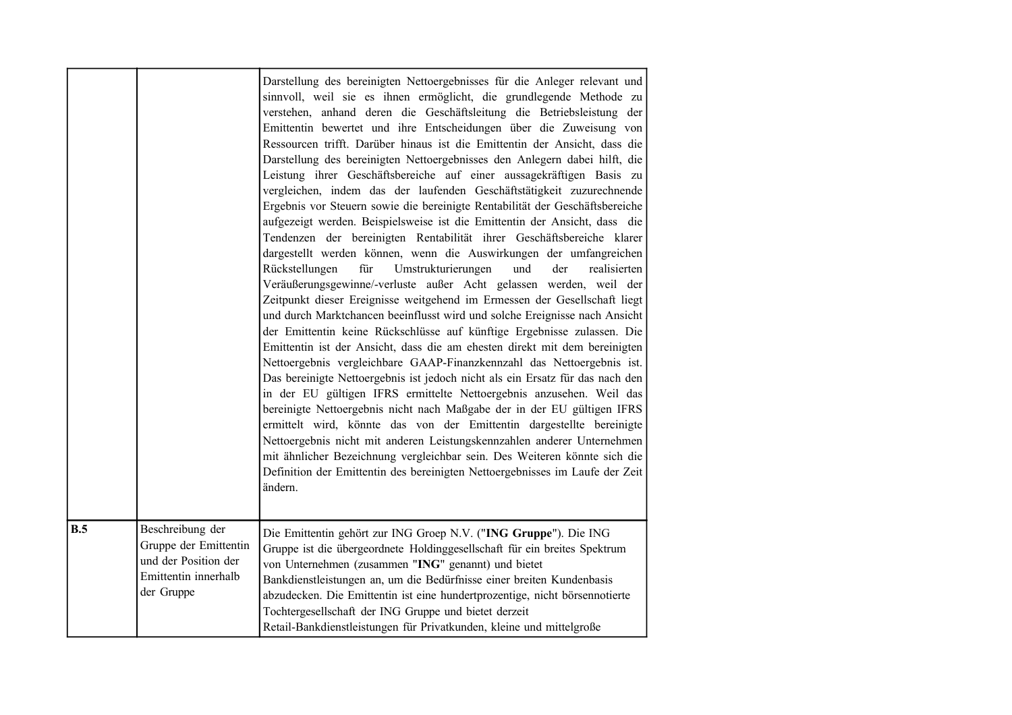|     |                                                                                                         | Darstellung des bereinigten Nettoergebnisses für die Anleger relevant und<br>sinnvoll, weil sie es ihnen ermöglicht, die grundlegende Methode zu<br>verstehen, anhand deren die Geschäftsleitung die Betriebsleistung der<br>Emittentin bewertet und ihre Entscheidungen über die Zuweisung von<br>Ressourcen trifft. Darüber hinaus ist die Emittentin der Ansicht, dass die<br>Darstellung des bereinigten Nettoergebnisses den Anlegern dabei hilft, die<br>Leistung ihrer Geschäftsbereiche auf einer aussagekräftigen Basis zu<br>vergleichen, indem das der laufenden Geschäftstätigkeit zuzurechnende<br>Ergebnis vor Steuern sowie die bereinigte Rentabilität der Geschäftsbereiche<br>aufgezeigt werden. Beispielsweise ist die Emittentin der Ansicht, dass die<br>Tendenzen der bereinigten Rentabilität ihrer Geschäftsbereiche klarer<br>dargestellt werden können, wenn die Auswirkungen der umfangreichen<br>Umstrukturierungen<br>der<br>realisierten<br>Rückstellungen<br>für<br>und<br>Veräußerungsgewinne/-verluste außer Acht gelassen werden, weil der<br>Zeitpunkt dieser Ereignisse weitgehend im Ermessen der Gesellschaft liegt<br>und durch Marktchancen beeinflusst wird und solche Ereignisse nach Ansicht<br>der Emittentin keine Rückschlüsse auf künftige Ergebnisse zulassen. Die<br>Emittentin ist der Ansicht, dass die am ehesten direkt mit dem bereinigten<br>Nettoergebnis vergleichbare GAAP-Finanzkennzahl das Nettoergebnis ist.<br>Das bereinigte Nettoergebnis ist jedoch nicht als ein Ersatz für das nach den<br>in der EU gültigen IFRS ermittelte Nettoergebnis anzusehen. Weil das<br>bereinigte Nettoergebnis nicht nach Maßgabe der in der EU gültigen IFRS<br>ermittelt wird, könnte das von der Emittentin dargestellte bereinigte<br>Nettoergebnis nicht mit anderen Leistungskennzahlen anderer Unternehmen<br>mit ähnlicher Bezeichnung vergleichbar sein. Des Weiteren könnte sich die<br>Definition der Emittentin des bereinigten Nettoergebnisses im Laufe der Zeit<br>ändern. |
|-----|---------------------------------------------------------------------------------------------------------|--------------------------------------------------------------------------------------------------------------------------------------------------------------------------------------------------------------------------------------------------------------------------------------------------------------------------------------------------------------------------------------------------------------------------------------------------------------------------------------------------------------------------------------------------------------------------------------------------------------------------------------------------------------------------------------------------------------------------------------------------------------------------------------------------------------------------------------------------------------------------------------------------------------------------------------------------------------------------------------------------------------------------------------------------------------------------------------------------------------------------------------------------------------------------------------------------------------------------------------------------------------------------------------------------------------------------------------------------------------------------------------------------------------------------------------------------------------------------------------------------------------------------------------------------------------------------------------------------------------------------------------------------------------------------------------------------------------------------------------------------------------------------------------------------------------------------------------------------------------------------------------------------------------------------------------------------------------------------------------------------------------------------------------------|
| B.5 | Beschreibung der<br>Gruppe der Emittentin<br>und der Position der<br>Emittentin innerhalb<br>der Gruppe | Die Emittentin gehört zur ING Groep N.V. ("ING Gruppe"). Die ING<br>Gruppe ist die übergeordnete Holdinggesellschaft für ein breites Spektrum<br>von Unternehmen (zusammen "ING" genannt) und bietet<br>Bankdienstleistungen an, um die Bedürfnisse einer breiten Kundenbasis<br>abzudecken. Die Emittentin ist eine hundertprozentige, nicht börsennotierte<br>Tochtergesellschaft der ING Gruppe und bietet derzeit<br>Retail-Bankdienstleistungen für Privatkunden, kleine und mittelgroße                                                                                                                                                                                                                                                                                                                                                                                                                                                                                                                                                                                                                                                                                                                                                                                                                                                                                                                                                                                                                                                                                                                                                                                                                                                                                                                                                                                                                                                                                                                                              |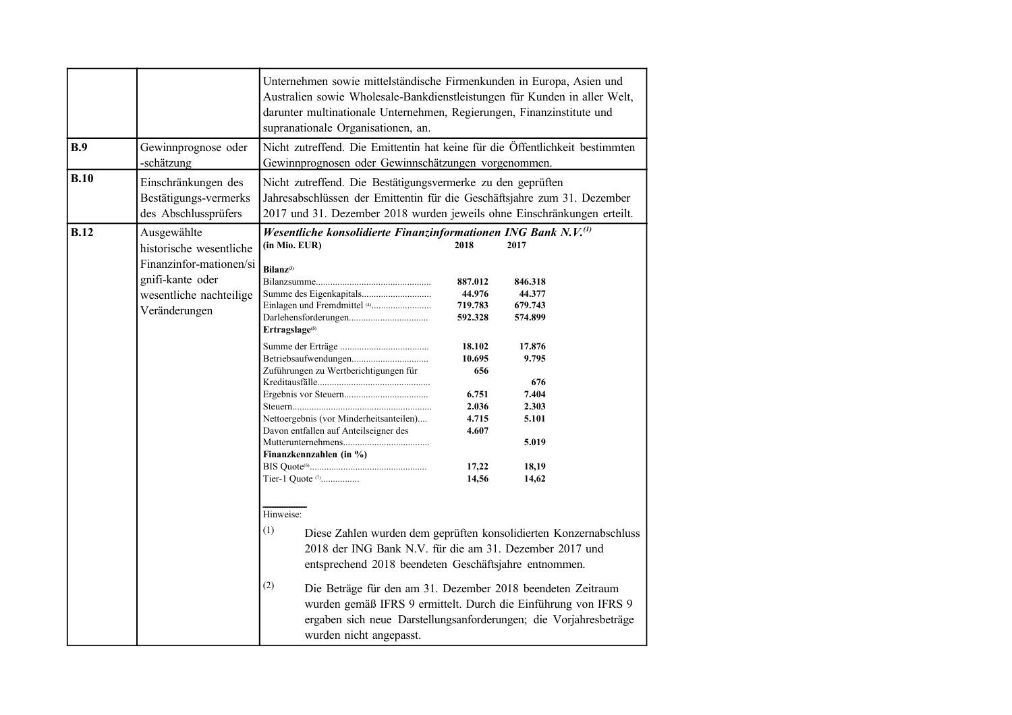|             |                                                                                                                                   | Unternehmen sowie mittelständische Firmenkunden in Europa, Asien und<br>Australien sowie Wholesale-Bankdienstleistungen für Kunden in aller Welt,<br>darunter multinationale Unternehmen, Regierungen, Finanzinstitute und<br>supranationale Organisationen, an.                                                                                                                                                                                                                                                                                                                   |                                                                                                                                  |                                                                                                                                                                                                                                                                                                                                             |
|-------------|-----------------------------------------------------------------------------------------------------------------------------------|------------------------------------------------------------------------------------------------------------------------------------------------------------------------------------------------------------------------------------------------------------------------------------------------------------------------------------------------------------------------------------------------------------------------------------------------------------------------------------------------------------------------------------------------------------------------------------|----------------------------------------------------------------------------------------------------------------------------------|---------------------------------------------------------------------------------------------------------------------------------------------------------------------------------------------------------------------------------------------------------------------------------------------------------------------------------------------|
| B.9         | Gewinnprognose oder<br>-schätzung                                                                                                 | Nicht zutreffend. Die Emittentin hat keine für die Öffentlichkeit bestimmten<br>Gewinnprognosen oder Gewinnschätzungen vorgenommen.                                                                                                                                                                                                                                                                                                                                                                                                                                                |                                                                                                                                  |                                                                                                                                                                                                                                                                                                                                             |
| B.10        | Einschränkungen des<br>Bestätigungs-vermerks<br>des Abschlussprüfers                                                              | Nicht zutreffend. Die Bestätigungsvermerke zu den geprüften<br>Jahresabschlüssen der Emittentin für die Geschäftsjahre zum 31. Dezember<br>2017 und 31. Dezember 2018 wurden jeweils ohne Einschränkungen erteilt.                                                                                                                                                                                                                                                                                                                                                                 |                                                                                                                                  |                                                                                                                                                                                                                                                                                                                                             |
| <b>B.12</b> | Ausgewählte<br>historische wesentliche<br>Finanzinfor-mationen/si<br>gnifi-kante oder<br>wesentliche nachteilige<br>Veränderungen | Wesentliche konsolidierte Finanzinformationen ING Bank N.V. <sup>(1)</sup><br>(in Mio. EUR)<br>Bilanz <sup>(3)</sup><br>Ertragslage <sup>(5)</sup><br>Zuführungen zu Wertberichtigungen für<br>Nettoergebnis (vor Minderheitsanteilen)<br>Davon entfallen auf Anteilseigner des<br>Finanzkennzahlen (in %)<br>Tier-1 Ouote <sup>(7)</sup><br>Hinweise:<br>(1)<br>2018 der ING Bank N.V. für die am 31. Dezember 2017 und<br>entsprechend 2018 beendeten Geschäftsjahre entnommen.<br>(2)<br>Die Beträge für den am 31. Dezember 2018 beendeten Zeitraum<br>wurden nicht angepasst. | 2018<br>887.012<br>44.976<br>719.783<br>592.328<br>18.102<br>10.695<br>656<br>6.751<br>2.036<br>4.715<br>4.607<br>17,22<br>14,56 | 2017<br>846.318<br>44.377<br>679.743<br>574.899<br>17.876<br>9.795<br>676<br>7.404<br>2.303<br>5.101<br>5.019<br>18,19<br>14,62<br>Diese Zahlen wurden dem geprüften konsolidierten Konzernabschluss<br>wurden gemäß IFRS 9 ermittelt. Durch die Einführung von IFRS 9<br>ergaben sich neue Darstellungsanforderungen; die Vorjahresbeträge |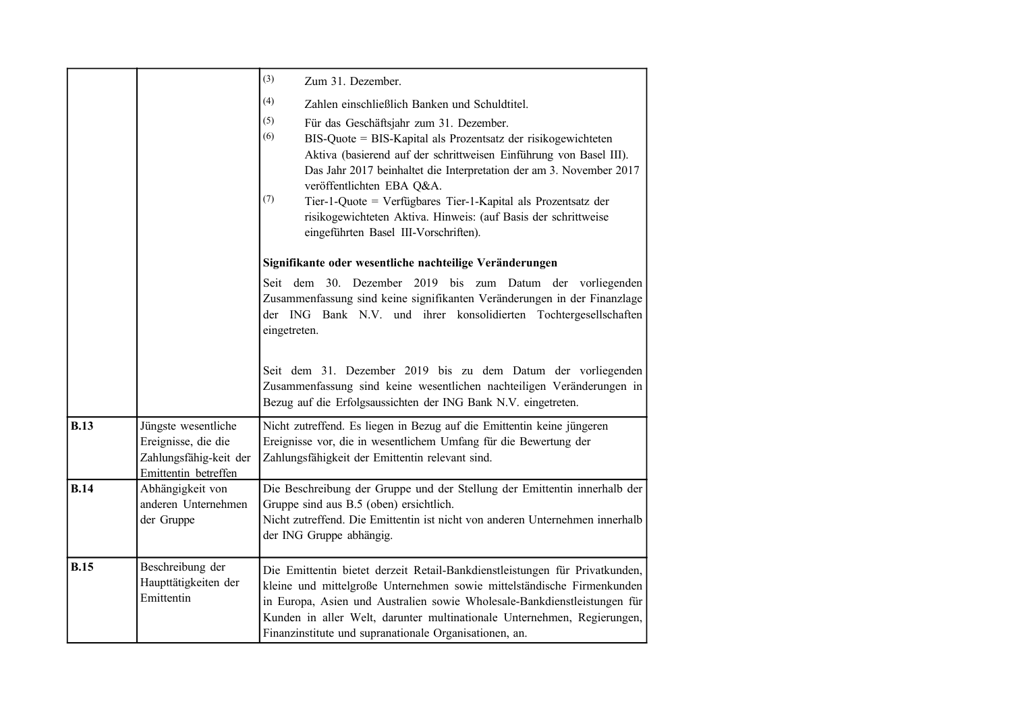|             |                                                                                              | (3)<br>Zum 31. Dezember.                                                                                                                                                                                                                                                                                                                                                                                                                                                                                                                    |
|-------------|----------------------------------------------------------------------------------------------|---------------------------------------------------------------------------------------------------------------------------------------------------------------------------------------------------------------------------------------------------------------------------------------------------------------------------------------------------------------------------------------------------------------------------------------------------------------------------------------------------------------------------------------------|
|             |                                                                                              | (4)<br>Zahlen einschließlich Banken und Schuldtitel.<br>(5)<br>Für das Geschäftsjahr zum 31. Dezember.<br>(6)<br>BIS-Quote = BIS-Kapital als Prozentsatz der risikogewichteten<br>Aktiva (basierend auf der schrittweisen Einführung von Basel III).<br>Das Jahr 2017 beinhaltet die Interpretation der am 3. November 2017<br>veröffentlichten EBA Q&A.<br>(7)<br>Tier-1-Quote = Verfügbares Tier-1-Kapital als Prozentsatz der<br>risikogewichteten Aktiva. Hinweis: (auf Basis der schrittweise<br>eingeführten Basel III-Vorschriften). |
|             |                                                                                              | Signifikante oder wesentliche nachteilige Veränderungen                                                                                                                                                                                                                                                                                                                                                                                                                                                                                     |
|             |                                                                                              | Seit dem 30. Dezember 2019 bis zum Datum der vorliegenden<br>Zusammenfassung sind keine signifikanten Veränderungen in der Finanzlage<br>der ING Bank N.V. und ihrer konsolidierten Tochtergesellschaften<br>eingetreten.                                                                                                                                                                                                                                                                                                                   |
|             |                                                                                              | Seit dem 31. Dezember 2019 bis zu dem Datum der vorliegenden<br>Zusammenfassung sind keine wesentlichen nachteiligen Veränderungen in<br>Bezug auf die Erfolgsaussichten der ING Bank N.V. eingetreten.                                                                                                                                                                                                                                                                                                                                     |
| <b>B.13</b> | Jüngste wesentliche<br>Ereignisse, die die<br>Zahlungsfähig-keit der<br>Emittentin betreffen | Nicht zutreffend. Es liegen in Bezug auf die Emittentin keine jüngeren<br>Ereignisse vor, die in wesentlichem Umfang für die Bewertung der<br>Zahlungsfähigkeit der Emittentin relevant sind.                                                                                                                                                                                                                                                                                                                                               |
| <b>B.14</b> | Abhängigkeit von<br>anderen Unternehmen<br>der Gruppe                                        | Die Beschreibung der Gruppe und der Stellung der Emittentin innerhalb der<br>Gruppe sind aus B.5 (oben) ersichtlich.<br>Nicht zutreffend. Die Emittentin ist nicht von anderen Unternehmen innerhalb<br>der ING Gruppe abhängig.                                                                                                                                                                                                                                                                                                            |
| <b>B.15</b> | Beschreibung der<br>Haupttätigkeiten der<br>Emittentin                                       | Die Emittentin bietet derzeit Retail-Bankdienstleistungen für Privatkunden,<br>kleine und mittelgroße Unternehmen sowie mittelständische Firmenkunden<br>in Europa, Asien und Australien sowie Wholesale-Bankdienstleistungen für<br>Kunden in aller Welt, darunter multinationale Unternehmen, Regierungen,<br>Finanzinstitute und supranationale Organisationen, an.                                                                                                                                                                      |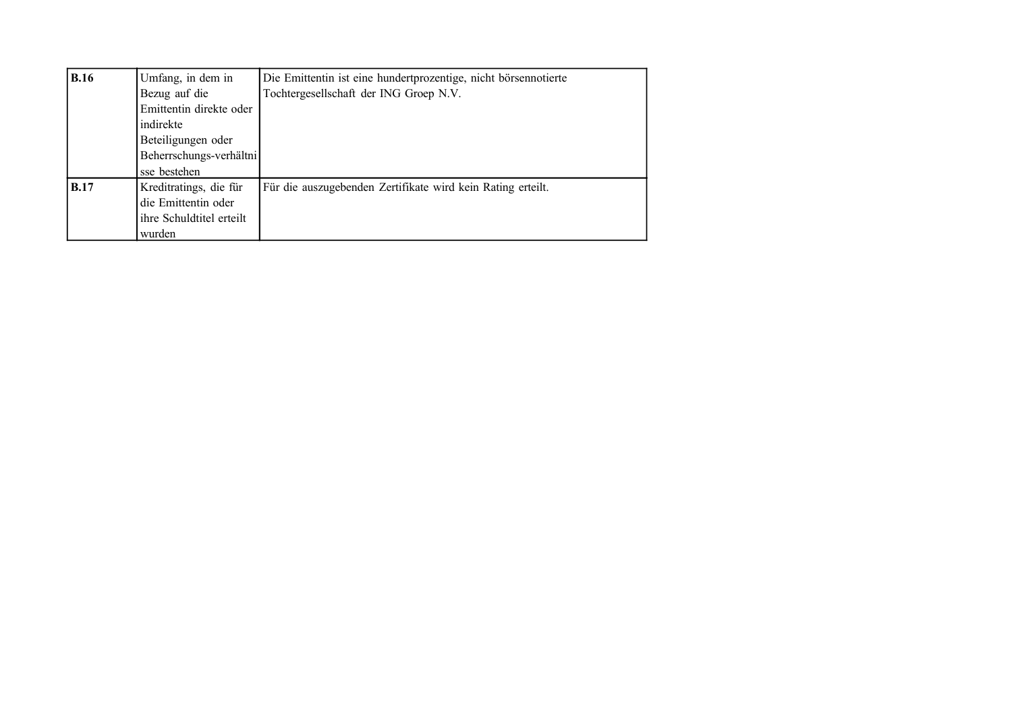| <b>B.16</b> | Umfang, in dem in        | Die Emittentin ist eine hundertprozentige, nicht börsennotierte |
|-------------|--------------------------|-----------------------------------------------------------------|
|             | Bezug auf die            | Tochtergesellschaft der ING Groep N.V.                          |
|             | Emittentin direkte oder  |                                                                 |
|             | indirekte                |                                                                 |
|             | Beteiligungen oder       |                                                                 |
|             | Beherrschungs-verhältni  |                                                                 |
|             | sse bestehen             |                                                                 |
| <b>B.17</b> | Kreditratings, die für   | Für die auszugebenden Zertifikate wird kein Rating erteilt.     |
|             | die Emittentin oder      |                                                                 |
|             | ihre Schuldtitel erteilt |                                                                 |
|             | wurden                   |                                                                 |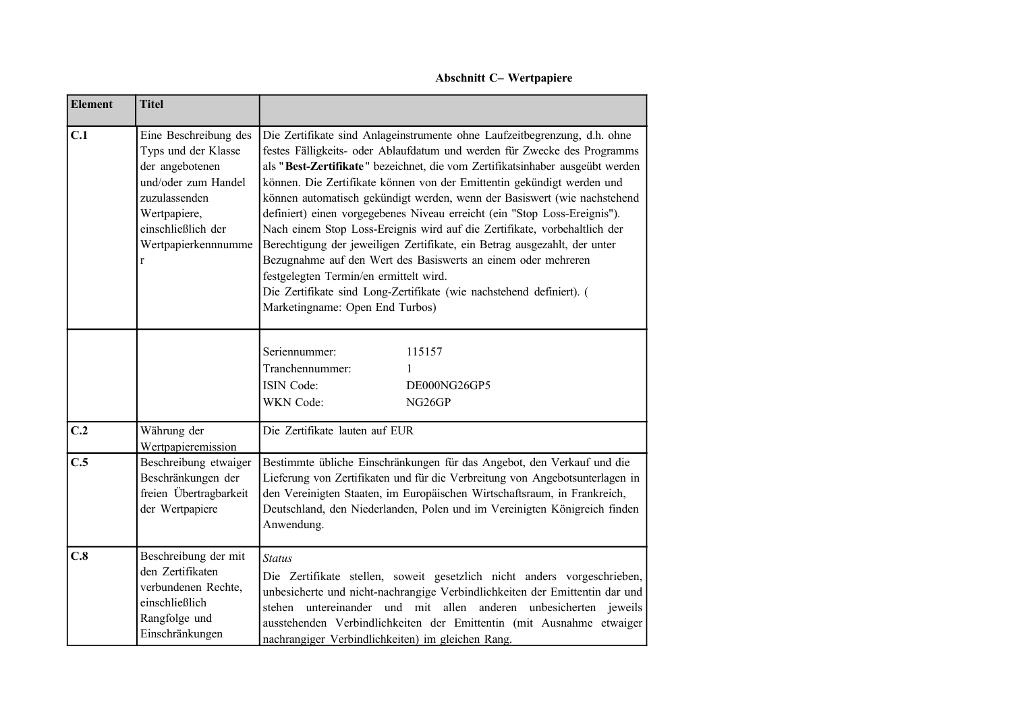**Abschnitt C– Wertpapiere**

| <b>Element</b> | <b>Titel</b>                                                                                                                                                              |                                                                                                                                                                                                                                                                                                                                                                                                                                                                                                                                                                                                                                                                                                                                                                                                                                                           |
|----------------|---------------------------------------------------------------------------------------------------------------------------------------------------------------------------|-----------------------------------------------------------------------------------------------------------------------------------------------------------------------------------------------------------------------------------------------------------------------------------------------------------------------------------------------------------------------------------------------------------------------------------------------------------------------------------------------------------------------------------------------------------------------------------------------------------------------------------------------------------------------------------------------------------------------------------------------------------------------------------------------------------------------------------------------------------|
| C.1            | Eine Beschreibung des<br>Typs und der Klasse<br>der angebotenen<br>und/oder zum Handel<br>zuzulassenden<br>Wertpapiere,<br>einschließlich der<br>Wertpapierkennnumme<br>r | Die Zertifikate sind Anlageinstrumente ohne Laufzeitbegrenzung, d.h. ohne<br>festes Fälligkeits- oder Ablaufdatum und werden für Zwecke des Programms<br>als "Best-Zertifikate" bezeichnet, die vom Zertifikatsinhaber ausgeübt werden<br>können. Die Zertifikate können von der Emittentin gekündigt werden und<br>können automatisch gekündigt werden, wenn der Basiswert (wie nachstehend<br>definiert) einen vorgegebenes Niveau erreicht (ein "Stop Loss-Ereignis").<br>Nach einem Stop Loss-Ereignis wird auf die Zertifikate, vorbehaltlich der<br>Berechtigung der jeweiligen Zertifikate, ein Betrag ausgezahlt, der unter<br>Bezugnahme auf den Wert des Basiswerts an einem oder mehreren<br>festgelegten Termin/en ermittelt wird.<br>Die Zertifikate sind Long-Zertifikate (wie nachstehend definiert). (<br>Marketingname: Open End Turbos) |
|                |                                                                                                                                                                           | 115157<br>Seriennummer:<br>Tranchennummer:<br>1<br>ISIN Code:<br>DE000NG26GP5<br>WKN Code:<br>NG <sub>26</sub> GP                                                                                                                                                                                                                                                                                                                                                                                                                                                                                                                                                                                                                                                                                                                                         |
| C.2            | Währung der<br>Wertpapieremission                                                                                                                                         | Die Zertifikate lauten auf EUR                                                                                                                                                                                                                                                                                                                                                                                                                                                                                                                                                                                                                                                                                                                                                                                                                            |
| C.5            | Beschreibung etwaiger<br>Beschränkungen der<br>freien Übertragbarkeit<br>der Wertpapiere                                                                                  | Bestimmte übliche Einschränkungen für das Angebot, den Verkauf und die<br>Lieferung von Zertifikaten und für die Verbreitung von Angebotsunterlagen in<br>den Vereinigten Staaten, im Europäischen Wirtschaftsraum, in Frankreich,<br>Deutschland, den Niederlanden, Polen und im Vereinigten Königreich finden<br>Anwendung.                                                                                                                                                                                                                                                                                                                                                                                                                                                                                                                             |
| C.8            | Beschreibung der mit<br>den Zertifikaten<br>verbundenen Rechte,<br>einschließlich<br>Rangfolge und<br>Einschränkungen                                                     | <b>Status</b><br>Die Zertifikate stellen, soweit gesetzlich nicht anders vorgeschrieben,<br>unbesicherte und nicht-nachrangige Verbindlichkeiten der Emittentin dar und<br>stehen untereinander und mit allen anderen unbesicherten jeweils<br>ausstehenden Verbindlichkeiten der Emittentin (mit Ausnahme etwaiger<br>nachrangiger Verbindlichkeiten) im gleichen Rang.                                                                                                                                                                                                                                                                                                                                                                                                                                                                                  |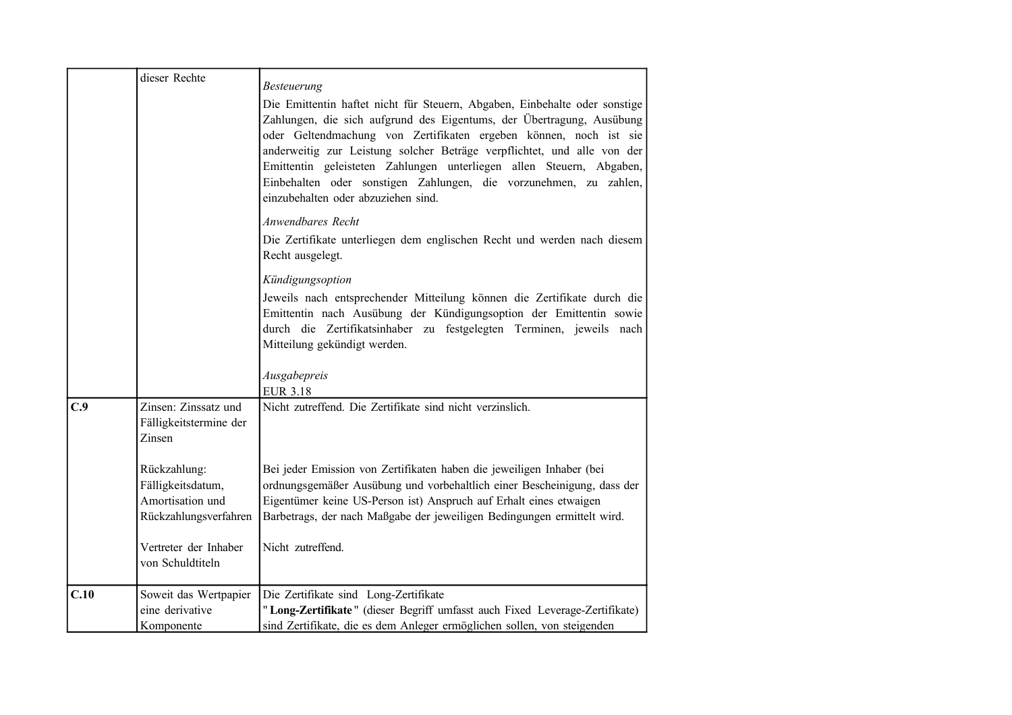|      | dieser Rechte                                                                  | Besteuerung                                                                                                                                                                                                                                                                                                                                                                                                                                                                             |
|------|--------------------------------------------------------------------------------|-----------------------------------------------------------------------------------------------------------------------------------------------------------------------------------------------------------------------------------------------------------------------------------------------------------------------------------------------------------------------------------------------------------------------------------------------------------------------------------------|
|      |                                                                                | Die Emittentin haftet nicht für Steuern, Abgaben, Einbehalte oder sonstige<br>Zahlungen, die sich aufgrund des Eigentums, der Übertragung, Ausübung<br>oder Geltendmachung von Zertifikaten ergeben können, noch ist sie<br>anderweitig zur Leistung solcher Beträge verpflichtet, und alle von der<br>Emittentin geleisteten Zahlungen unterliegen allen Steuern, Abgaben,<br>Einbehalten oder sonstigen Zahlungen, die vorzunehmen, zu zahlen,<br>einzubehalten oder abzuziehen sind. |
|      |                                                                                | Anwendbares Recht<br>Die Zertifikate unterliegen dem englischen Recht und werden nach diesem<br>Recht ausgelegt.                                                                                                                                                                                                                                                                                                                                                                        |
|      |                                                                                | Kündigungsoption<br>Jeweils nach entsprechender Mitteilung können die Zertifikate durch die<br>Emittentin nach Ausübung der Kündigungsoption der Emittentin sowie<br>durch die Zertifikatsinhaber zu festgelegten Terminen, jeweils nach<br>Mitteilung gekündigt werden.                                                                                                                                                                                                                |
|      |                                                                                | Ausgabepreis<br><b>EUR 3.18</b>                                                                                                                                                                                                                                                                                                                                                                                                                                                         |
| C.9  | Zinsen: Zinssatz und<br>Fälligkeitstermine der<br>Zinsen                       | Nicht zutreffend. Die Zertifikate sind nicht verzinslich.                                                                                                                                                                                                                                                                                                                                                                                                                               |
|      | Rückzahlung:<br>Fälligkeitsdatum,<br>Amortisation und<br>Rückzahlungsverfahren | Bei jeder Emission von Zertifikaten haben die jeweiligen Inhaber (bei<br>ordnungsgemäßer Ausübung und vorbehaltlich einer Bescheinigung, dass der<br>Eigentümer keine US-Person ist) Anspruch auf Erhalt eines etwaigen<br>Barbetrags, der nach Maßgabe der jeweiligen Bedingungen ermittelt wird.                                                                                                                                                                                      |
|      | Vertreter der Inhaber<br>von Schuldtiteln                                      | Nicht zutreffend.                                                                                                                                                                                                                                                                                                                                                                                                                                                                       |
| C.10 | Soweit das Wertpapier<br>eine derivative<br>Komponente                         | Die Zertifikate sind Long-Zertifikate<br>"Long-Zertifikate" (dieser Begriff umfasst auch Fixed Leverage-Zertifikate)<br>sind Zertifikate, die es dem Anleger ermöglichen sollen, von steigenden                                                                                                                                                                                                                                                                                         |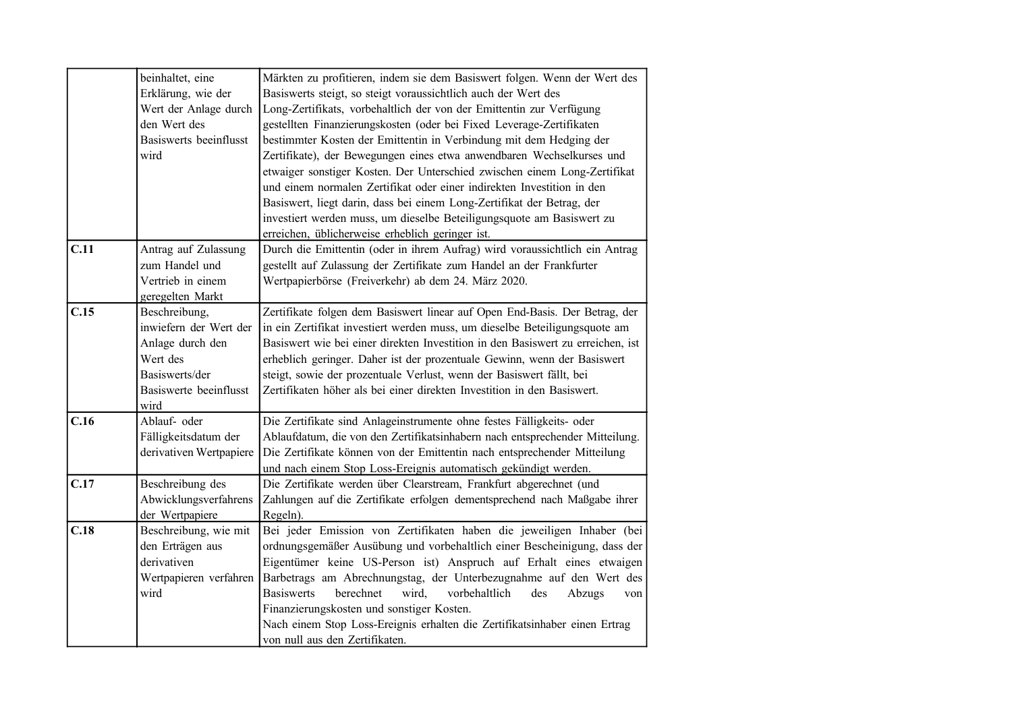|      | beinhaltet, eine<br>Erklärung, wie der<br>Wert der Anlage durch<br>den Wert des<br>Basiswerts beeinflusst<br>wird           | Märkten zu profitieren, indem sie dem Basiswert folgen. Wenn der Wert des<br>Basiswerts steigt, so steigt voraussichtlich auch der Wert des<br>Long-Zertifikats, vorbehaltlich der von der Emittentin zur Verfügung<br>gestellten Finanzierungskosten (oder bei Fixed Leverage-Zertifikaten<br>bestimmter Kosten der Emittentin in Verbindung mit dem Hedging der<br>Zertifikate), der Bewegungen eines etwa anwendbaren Wechselkurses und<br>etwaiger sonstiger Kosten. Der Unterschied zwischen einem Long-Zertifikat<br>und einem normalen Zertifikat oder einer indirekten Investition in den<br>Basiswert, liegt darin, dass bei einem Long-Zertifikat der Betrag, der |
|------|-----------------------------------------------------------------------------------------------------------------------------|-----------------------------------------------------------------------------------------------------------------------------------------------------------------------------------------------------------------------------------------------------------------------------------------------------------------------------------------------------------------------------------------------------------------------------------------------------------------------------------------------------------------------------------------------------------------------------------------------------------------------------------------------------------------------------|
|      |                                                                                                                             | investiert werden muss, um dieselbe Beteiligungsquote am Basiswert zu<br>erreichen, üblicherweise erheblich geringer ist.                                                                                                                                                                                                                                                                                                                                                                                                                                                                                                                                                   |
| C.11 | Antrag auf Zulassung<br>zum Handel und<br>Vertrieb in einem<br>geregelten Markt                                             | Durch die Emittentin (oder in ihrem Aufrag) wird voraussichtlich ein Antrag<br>gestellt auf Zulassung der Zertifikate zum Handel an der Frankfurter<br>Wertpapierbörse (Freiverkehr) ab dem 24. März 2020.                                                                                                                                                                                                                                                                                                                                                                                                                                                                  |
| C.15 | Beschreibung,<br>inwiefern der Wert der<br>Anlage durch den<br>Wert des<br>Basiswerts/der<br>Basiswerte beeinflusst<br>wird | Zertifikate folgen dem Basiswert linear auf Open End-Basis. Der Betrag, der<br>in ein Zertifikat investiert werden muss, um dieselbe Beteiligungsquote am<br>Basiswert wie bei einer direkten Investition in den Basiswert zu erreichen, ist<br>erheblich geringer. Daher ist der prozentuale Gewinn, wenn der Basiswert<br>steigt, sowie der prozentuale Verlust, wenn der Basiswert fällt, bei<br>Zertifikaten höher als bei einer direkten Investition in den Basiswert.                                                                                                                                                                                                 |
| C.16 | Ablauf- oder<br>Fälligkeitsdatum der<br>derivativen Wertpapiere                                                             | Die Zertifikate sind Anlageinstrumente ohne festes Fälligkeits- oder<br>Ablaufdatum, die von den Zertifikatsinhabern nach entsprechender Mitteilung.<br>Die Zertifikate können von der Emittentin nach entsprechender Mitteilung<br>und nach einem Stop Loss-Ereignis automatisch gekündigt werden.                                                                                                                                                                                                                                                                                                                                                                         |
| C.17 | Beschreibung des<br>Abwicklungsverfahrens<br>der Wertpapiere                                                                | Die Zertifikate werden über Clearstream, Frankfurt abgerechnet (und<br>Zahlungen auf die Zertifikate erfolgen dementsprechend nach Maßgabe ihrer<br>Regeln).                                                                                                                                                                                                                                                                                                                                                                                                                                                                                                                |
| C.18 | Beschreibung, wie mit<br>den Erträgen aus<br>derivativen<br>Wertpapieren verfahren<br>wird                                  | Bei jeder Emission von Zertifikaten haben die jeweiligen Inhaber (bei<br>ordnungsgemäßer Ausübung und vorbehaltlich einer Bescheinigung, dass der<br>Eigentümer keine US-Person ist) Anspruch auf Erhalt eines etwaigen<br>Barbetrags am Abrechnungstag, der Unterbezugnahme auf den Wert des<br><b>Basiswerts</b><br>berechnet<br>wird,<br>vorbehaltlich<br>des<br>Abzugs<br>von<br>Finanzierungskosten und sonstiger Kosten.<br>Nach einem Stop Loss-Ereignis erhalten die Zertifikatsinhaber einen Ertrag<br>von null aus den Zertifikaten.                                                                                                                              |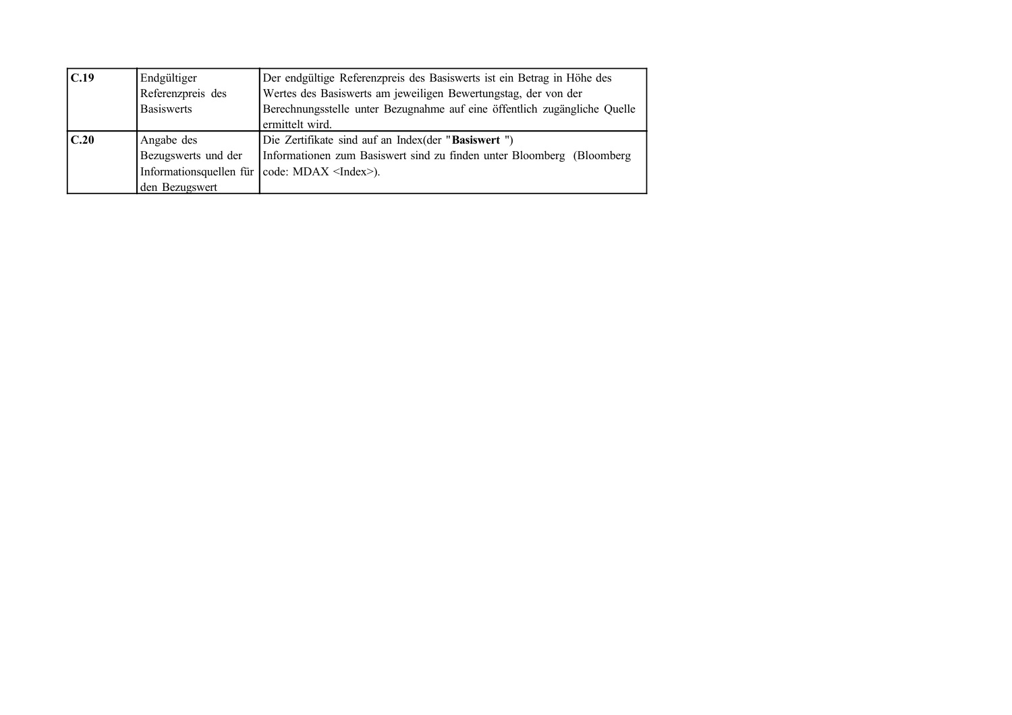| C.19 | Endgültiger         | Der endgültige Referenzpreis des Basiswerts ist ein Betrag in Höhe des    |  |
|------|---------------------|---------------------------------------------------------------------------|--|
|      | Referenzpreis des   | Wertes des Basiswerts am jeweiligen Bewertungstag, der von der            |  |
|      | <b>Basiswerts</b>   | Berechnungsstelle unter Bezugnahme auf eine öffentlich zugängliche Quelle |  |
|      |                     | ermittelt wird.                                                           |  |
|      |                     |                                                                           |  |
| C.20 | Angabe des          | Die Zertifikate sind auf an Index(der "Basiswert")                        |  |
|      | Bezugswerts und der | Informationen zum Basiswert sind zu finden unter Bloomberg (Bloomberg)    |  |
|      |                     | Information squellen für $\vert \text{code}$ : MDAX <index>).</index>     |  |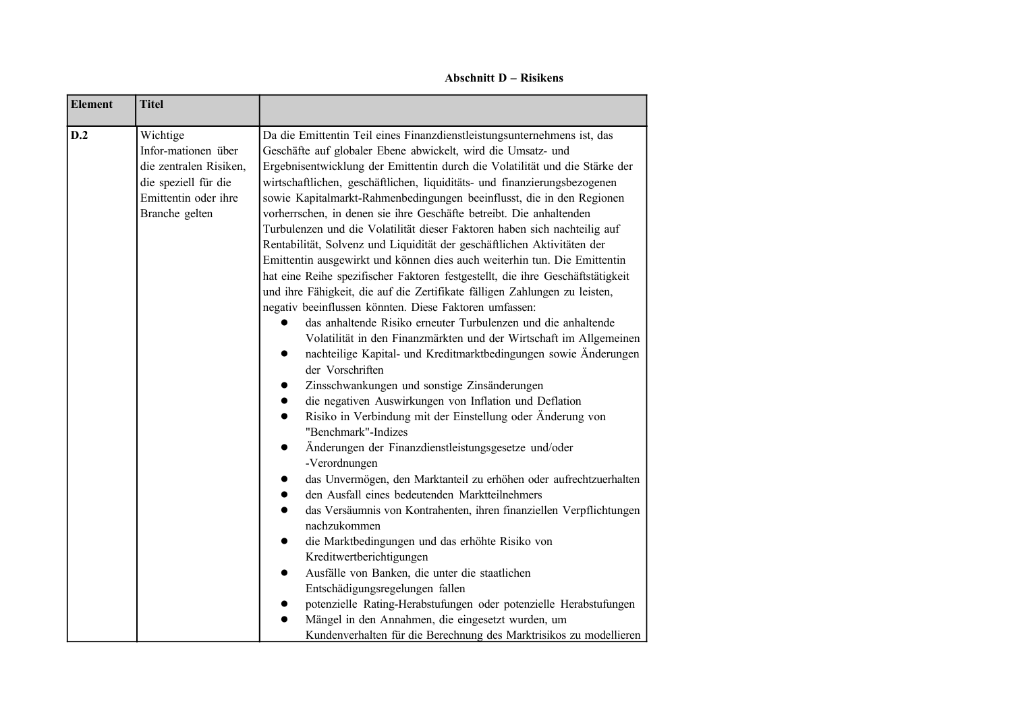**Abschnitt D – Risikens**

۳

| Da die Emittentin Teil eines Finanzdienstleistungsunternehmens ist, das<br>Infor-mationen über<br>Geschäfte auf globaler Ebene abwickelt, wird die Umsatz- und<br>Ergebnisentwicklung der Emittentin durch die Volatilität und die Stärke der<br>die zentralen Risiken,<br>wirtschaftlichen, geschäftlichen, liquiditäts- und finanzierungsbezogenen<br>Emittentin oder ihre<br>sowie Kapitalmarkt-Rahmenbedingungen beeinflusst, die in den Regionen<br>vorherrschen, in denen sie ihre Geschäfte betreibt. Die anhaltenden<br>Turbulenzen und die Volatilität dieser Faktoren haben sich nachteilig auf<br>Rentabilität, Solvenz und Liquidität der geschäftlichen Aktivitäten der<br>Emittentin ausgewirkt und können dies auch weiterhin tun. Die Emittentin<br>hat eine Reihe spezifischer Faktoren festgestellt, die ihre Geschäftstätigkeit<br>und ihre Fähigkeit, die auf die Zertifikate fälligen Zahlungen zu leisten,<br>negativ beeinflussen könnten. Diese Faktoren umfassen:<br>das anhaltende Risiko erneuter Turbulenzen und die anhaltende<br>Volatilität in den Finanzmärkten und der Wirtschaft im Allgemeinen<br>nachteilige Kapital- und Kreditmarktbedingungen sowie Änderungen<br>der Vorschriften<br>Zinsschwankungen und sonstige Zinsänderungen<br>die negativen Auswirkungen von Inflation und Deflation<br>Risiko in Verbindung mit der Einstellung oder Änderung von<br>"Benchmark"-Indizes<br>Änderungen der Finanzdienstleistungsgesetze und/oder<br>$\bullet$<br>-Verordnungen<br>das Unvermögen, den Marktanteil zu erhöhen oder aufrechtzuerhalten<br>den Ausfall eines bedeutenden Marktteilnehmers<br>$\bullet$<br>das Versäumnis von Kontrahenten, ihren finanziellen Verpflichtungen<br>nachzukommen<br>die Marktbedingungen und das erhöhte Risiko von<br>Kreditwertberichtigungen<br>Ausfälle von Banken, die unter die staatlichen<br>Entschädigungsregelungen fallen<br>potenzielle Rating-Herabstufungen oder potenzielle Herabstufungen<br>Mängel in den Annahmen, die eingesetzt wurden, um<br>Kundenverhalten für die Berechnung des Marktrisikos zu modellieren |
|----------------------------------------------------------------------------------------------------------------------------------------------------------------------------------------------------------------------------------------------------------------------------------------------------------------------------------------------------------------------------------------------------------------------------------------------------------------------------------------------------------------------------------------------------------------------------------------------------------------------------------------------------------------------------------------------------------------------------------------------------------------------------------------------------------------------------------------------------------------------------------------------------------------------------------------------------------------------------------------------------------------------------------------------------------------------------------------------------------------------------------------------------------------------------------------------------------------------------------------------------------------------------------------------------------------------------------------------------------------------------------------------------------------------------------------------------------------------------------------------------------------------------------------------------------------------------------------------------------------------------------------------------------------------------------------------------------------------------------------------------------------------------------------------------------------------------------------------------------------------------------------------------------------------------------------------------------------------------------------------------------------------------------------------------------------------------------------------------------------|
|                                                                                                                                                                                                                                                                                                                                                                                                                                                                                                                                                                                                                                                                                                                                                                                                                                                                                                                                                                                                                                                                                                                                                                                                                                                                                                                                                                                                                                                                                                                                                                                                                                                                                                                                                                                                                                                                                                                                                                                                                                                                                                                |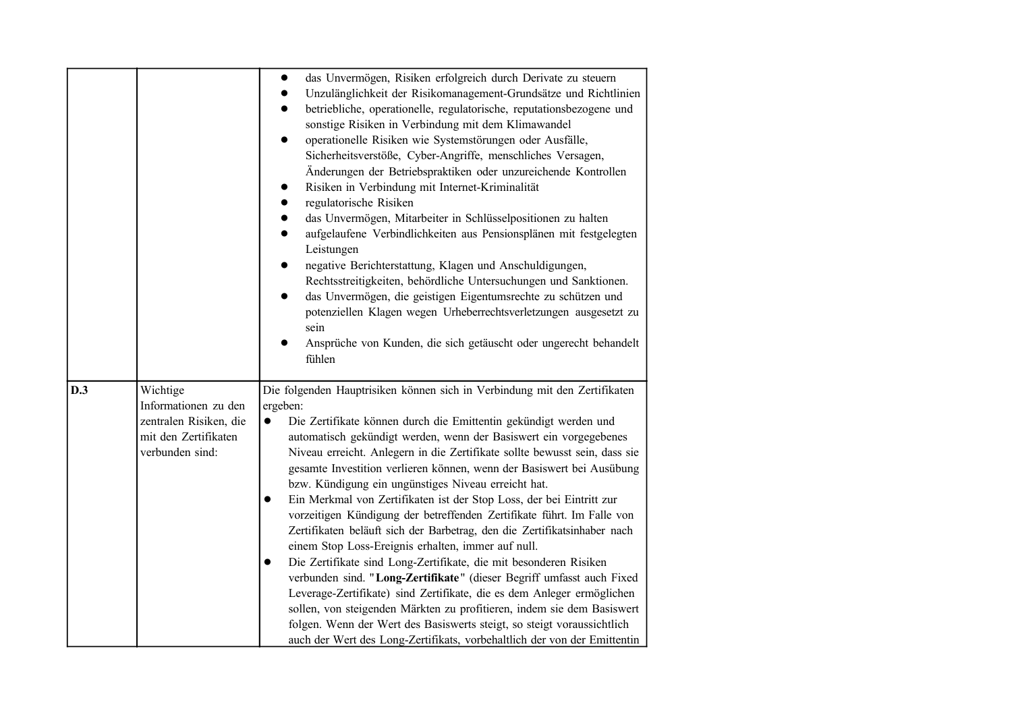|     |                                                                                                       | das Unvermögen, Risiken erfolgreich durch Derivate zu steuern<br>$\bullet$<br>Unzulänglichkeit der Risikomanagement-Grundsätze und Richtlinien<br>betriebliche, operationelle, regulatorische, reputationsbezogene und<br>sonstige Risiken in Verbindung mit dem Klimawandel<br>operationelle Risiken wie Systemstörungen oder Ausfälle,<br>Sicherheitsverstöße, Cyber-Angriffe, menschliches Versagen,<br>Änderungen der Betriebspraktiken oder unzureichende Kontrollen<br>Risiken in Verbindung mit Internet-Kriminalität<br>$\bullet$<br>regulatorische Risiken<br>$\bullet$<br>das Unvermögen, Mitarbeiter in Schlüsselpositionen zu halten<br>$\bullet$<br>aufgelaufene Verbindlichkeiten aus Pensionsplänen mit festgelegten<br>$\bullet$<br>Leistungen<br>negative Berichterstattung, Klagen und Anschuldigungen,<br>$\bullet$<br>Rechtsstreitigkeiten, behördliche Untersuchungen und Sanktionen.<br>das Unvermögen, die geistigen Eigentumsrechte zu schützen und<br>potenziellen Klagen wegen Urheberrechtsverletzungen ausgesetzt zu<br>sein<br>Ansprüche von Kunden, die sich getäuscht oder ungerecht behandelt<br>fühlen                                                                                         |
|-----|-------------------------------------------------------------------------------------------------------|---------------------------------------------------------------------------------------------------------------------------------------------------------------------------------------------------------------------------------------------------------------------------------------------------------------------------------------------------------------------------------------------------------------------------------------------------------------------------------------------------------------------------------------------------------------------------------------------------------------------------------------------------------------------------------------------------------------------------------------------------------------------------------------------------------------------------------------------------------------------------------------------------------------------------------------------------------------------------------------------------------------------------------------------------------------------------------------------------------------------------------------------------------------------------------------------------------------------------------|
| D.3 | Wichtige<br>Informationen zu den<br>zentralen Risiken, die<br>mit den Zertifikaten<br>verbunden sind: | Die folgenden Hauptrisiken können sich in Verbindung mit den Zertifikaten<br>ergeben:<br>Die Zertifikate können durch die Emittentin gekündigt werden und<br>$\bullet$<br>automatisch gekündigt werden, wenn der Basiswert ein vorgegebenes<br>Niveau erreicht. Anlegern in die Zertifikate sollte bewusst sein, dass sie<br>gesamte Investition verlieren können, wenn der Basiswert bei Ausübung<br>bzw. Kündigung ein ungünstiges Niveau erreicht hat.<br>Ein Merkmal von Zertifikaten ist der Stop Loss, der bei Eintritt zur<br>$\bullet$<br>vorzeitigen Kündigung der betreffenden Zertifikate führt. Im Falle von<br>Zertifikaten beläuft sich der Barbetrag, den die Zertifikatsinhaber nach<br>einem Stop Loss-Ereignis erhalten, immer auf null.<br>Die Zertifikate sind Long-Zertifikate, die mit besonderen Risiken<br>$\bullet$<br>verbunden sind. "Long-Zertifikate" (dieser Begriff umfasst auch Fixed<br>Leverage-Zertifikate) sind Zertifikate, die es dem Anleger ermöglichen<br>sollen, von steigenden Märkten zu profitieren, indem sie dem Basiswert<br>folgen. Wenn der Wert des Basiswerts steigt, so steigt voraussichtlich<br>auch der Wert des Long-Zertifikats, vorbehaltlich der von der Emittentin |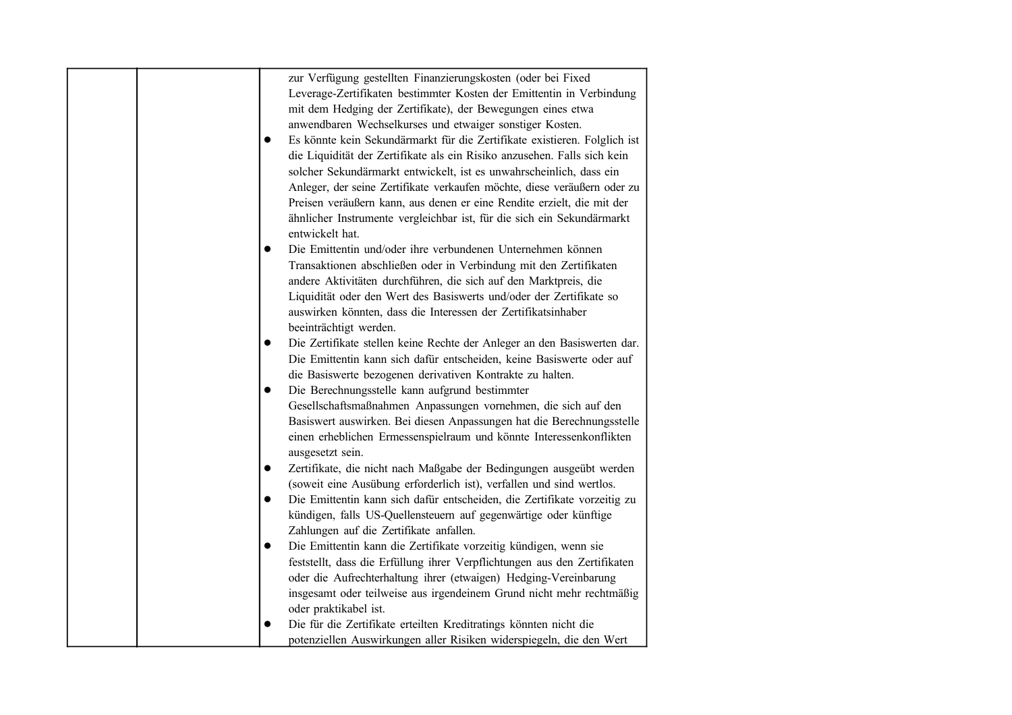| zur Verfügung gestellten Finanzierungskosten (oder bei Fixed                              |
|-------------------------------------------------------------------------------------------|
| Leverage-Zertifikaten bestimmter Kosten der Emittentin in Verbindung                      |
| mit dem Hedging der Zertifikate), der Bewegungen eines etwa                               |
| anwendbaren Wechselkurses und etwaiger sonstiger Kosten.                                  |
| Es könnte kein Sekundärmarkt für die Zertifikate existieren. Folglich ist<br>$\bullet$    |
| die Liquidität der Zertifikate als ein Risiko anzusehen. Falls sich kein                  |
| solcher Sekundärmarkt entwickelt, ist es unwahrscheinlich, dass ein                       |
| Anleger, der seine Zertifikate verkaufen möchte, diese veräußern oder zu                  |
| Preisen veräußern kann, aus denen er eine Rendite erzielt, die mit der                    |
| ähnlicher Instrumente vergleichbar ist, für die sich ein Sekundärmarkt<br>entwickelt hat. |
| Die Emittentin und/oder ihre verbundenen Unternehmen können<br>$\bullet$                  |
| Transaktionen abschließen oder in Verbindung mit den Zertifikaten                         |
| andere Aktivitäten durchführen, die sich auf den Marktpreis, die                          |
| Liquidität oder den Wert des Basiswerts und/oder der Zertifikate so                       |
| auswirken könnten, dass die Interessen der Zertifikatsinhaber                             |
| beeinträchtigt werden.                                                                    |
| Die Zertifikate stellen keine Rechte der Anleger an den Basiswerten dar.<br>$\bullet$     |
| Die Emittentin kann sich dafür entscheiden, keine Basiswerte oder auf                     |
| die Basiswerte bezogenen derivativen Kontrakte zu halten.                                 |
| Die Berechnungsstelle kann aufgrund bestimmter<br>$\bullet$                               |
| Gesellschaftsmaßnahmen Anpassungen vornehmen, die sich auf den                            |
| Basiswert auswirken. Bei diesen Anpassungen hat die Berechnungsstelle                     |
|                                                                                           |
| einen erheblichen Ermessenspielraum und könnte Interessenkonflikten                       |
| ausgesetzt sein.                                                                          |
| Zertifikate, die nicht nach Maßgabe der Bedingungen ausgeübt werden<br>$\bullet$          |
| (soweit eine Ausübung erforderlich ist), verfallen und sind wertlos.                      |
| Die Emittentin kann sich dafür entscheiden, die Zertifikate vorzeitig zu<br>$\bullet$     |
| kündigen, falls US-Quellensteuern auf gegenwärtige oder künftige                          |
| Zahlungen auf die Zertifikate anfallen.                                                   |
| Die Emittentin kann die Zertifikate vorzeitig kündigen, wenn sie<br>$\bullet$             |
| feststellt, dass die Erfüllung ihrer Verpflichtungen aus den Zertifikaten                 |
| oder die Aufrechterhaltung ihrer (etwaigen) Hedging-Vereinbarung                          |
| insgesamt oder teilweise aus irgendeinem Grund nicht mehr rechtmäßig                      |
| oder praktikabel ist.                                                                     |
| Die für die Zertifikate erteilten Kreditratings könnten nicht die<br>0                    |
| potenziellen Auswirkungen aller Risiken widerspiegeln, die den Wert                       |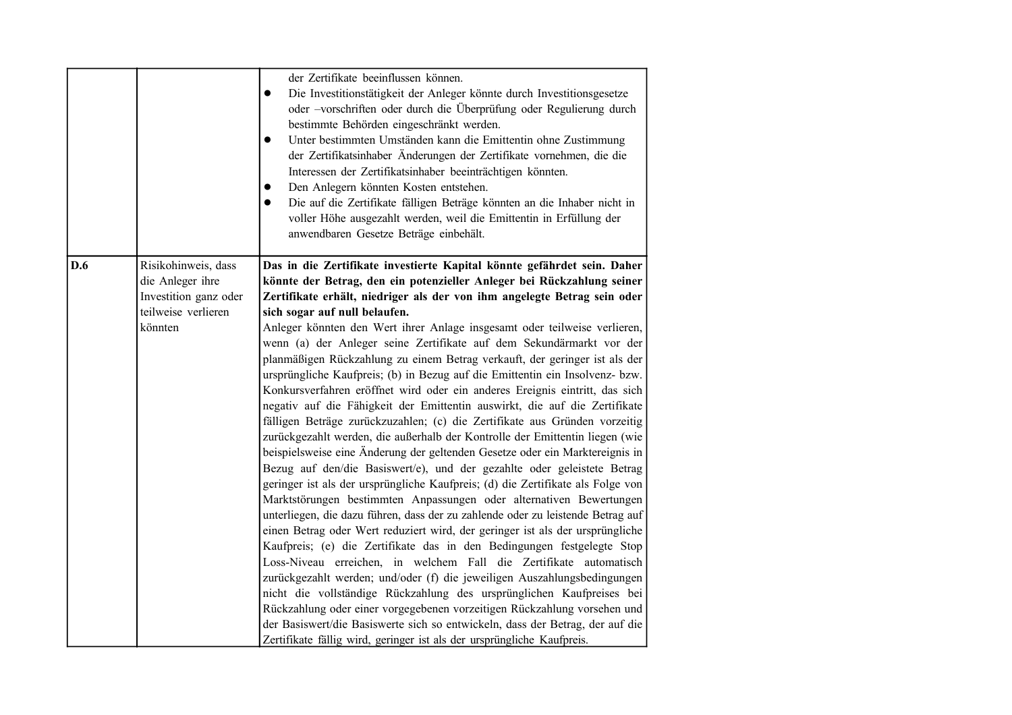|     |                       | der Zertifikate beeinflussen können.                                                                                                         |
|-----|-----------------------|----------------------------------------------------------------------------------------------------------------------------------------------|
|     |                       | Die Investitionstätigkeit der Anleger könnte durch Investitionsgesetze<br>$\bullet$                                                          |
|     |                       | oder -vorschriften oder durch die Überprüfung oder Regulierung durch                                                                         |
|     |                       | bestimmte Behörden eingeschränkt werden.                                                                                                     |
|     |                       | Unter bestimmten Umständen kann die Emittentin ohne Zustimmung                                                                               |
|     |                       | der Zertifikatsinhaber Änderungen der Zertifikate vornehmen, die die                                                                         |
|     |                       | Interessen der Zertifikatsinhaber beeinträchtigen könnten.<br>Den Anlegern könnten Kosten entstehen.                                         |
|     |                       | Die auf die Zertifikate fälligen Beträge könnten an die Inhaber nicht in                                                                     |
|     |                       | voller Höhe ausgezahlt werden, weil die Emittentin in Erfüllung der                                                                          |
|     |                       | anwendbaren Gesetze Beträge einbehält.                                                                                                       |
|     |                       |                                                                                                                                              |
| D.6 | Risikohinweis, dass   | Das in die Zertifikate investierte Kapital könnte gefährdet sein. Daher                                                                      |
|     | die Anleger ihre      | könnte der Betrag, den ein potenzieller Anleger bei Rückzahlung seiner                                                                       |
|     | Investition ganz oder | Zertifikate erhält, niedriger als der von ihm angelegte Betrag sein oder                                                                     |
|     | teilweise verlieren   | sich sogar auf null belaufen.                                                                                                                |
|     | könnten               | Anleger könnten den Wert ihrer Anlage insgesamt oder teilweise verlieren,                                                                    |
|     |                       | wenn (a) der Anleger seine Zertifikate auf dem Sekundärmarkt vor der                                                                         |
|     |                       | planmäßigen Rückzahlung zu einem Betrag verkauft, der geringer ist als der                                                                   |
|     |                       | ursprüngliche Kaufpreis; (b) in Bezug auf die Emittentin ein Insolvenz- bzw.                                                                 |
|     |                       | Konkursverfahren eröffnet wird oder ein anderes Ereignis eintritt, das sich                                                                  |
|     |                       | negativ auf die Fähigkeit der Emittentin auswirkt, die auf die Zertifikate                                                                   |
|     |                       | fälligen Beträge zurückzuzahlen; (c) die Zertifikate aus Gründen vorzeitig                                                                   |
|     |                       | zurückgezahlt werden, die außerhalb der Kontrolle der Emittentin liegen (wie                                                                 |
|     |                       | beispielsweise eine Änderung der geltenden Gesetze oder ein Marktereignis in                                                                 |
|     |                       | Bezug auf den/die Basiswert/e), und der gezahlte oder geleistete Betrag                                                                      |
|     |                       | geringer ist als der ursprüngliche Kaufpreis; (d) die Zertifikate als Folge von                                                              |
|     |                       | Marktstörungen bestimmten Anpassungen oder alternativen Bewertungen                                                                          |
|     |                       | unterliegen, die dazu führen, dass der zu zahlende oder zu leistende Betrag auf                                                              |
|     |                       | einen Betrag oder Wert reduziert wird, der geringer ist als der ursprüngliche                                                                |
|     |                       | Kaufpreis; (e) die Zertifikate das in den Bedingungen festgelegte Stop<br>Loss-Niveau erreichen, in welchem Fall die Zertifikate automatisch |
|     |                       | zurückgezahlt werden; und/oder (f) die jeweiligen Auszahlungsbedingungen                                                                     |
|     |                       | nicht die vollständige Rückzahlung des ursprünglichen Kaufpreises bei                                                                        |
|     |                       | Rückzahlung oder einer vorgegebenen vorzeitigen Rückzahlung vorsehen und                                                                     |
|     |                       | der Basiswert/die Basiswerte sich so entwickeln, dass der Betrag, der auf die                                                                |
|     |                       | Zertifikate fällig wird, geringer ist als der ursprüngliche Kaufpreis.                                                                       |